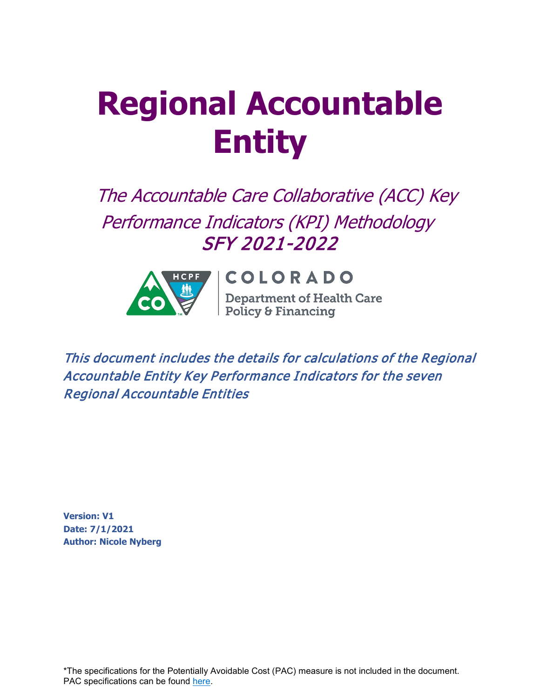# **Regional Accountable Entity**

The Accountable Care Collaborative (ACC) Key Performance Indicators (KPI) Methodology SFY 2021-2022



# COLORADO

**Department of Health Care**<br>Policy & Financing

This document includes the details for calculations of the Regional Accountable Entity Key Performance Indicators for the seven Regional Accountable Entities

**Version: V1 Date: 7/1/2021 Author: Nicole Nyberg**

\*The specifications for the Potentially Avoidable Cost (PAC) measure is not included in the document. PAC specifications can be found [here.](https://hcpf.colorado.gov/sites/hcpf/files/Potentially%20Avoidable%20Costs%20FY%202020-20212%20June%202021_0.pdf)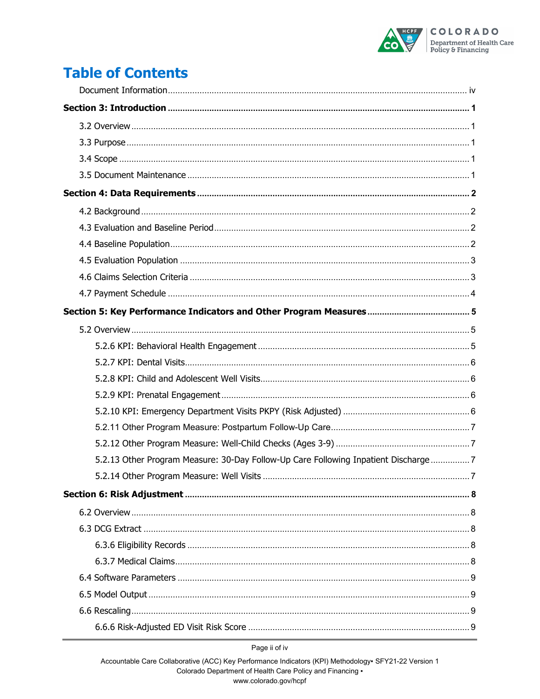

# **Table of Contents**

| 5.2.13 Other Program Measure: 30-Day Follow-Up Care Following Inpatient Discharge7 |  |
|------------------------------------------------------------------------------------|--|
|                                                                                    |  |
|                                                                                    |  |
|                                                                                    |  |
|                                                                                    |  |
|                                                                                    |  |
|                                                                                    |  |
|                                                                                    |  |
|                                                                                    |  |
|                                                                                    |  |
|                                                                                    |  |

Page ii of iv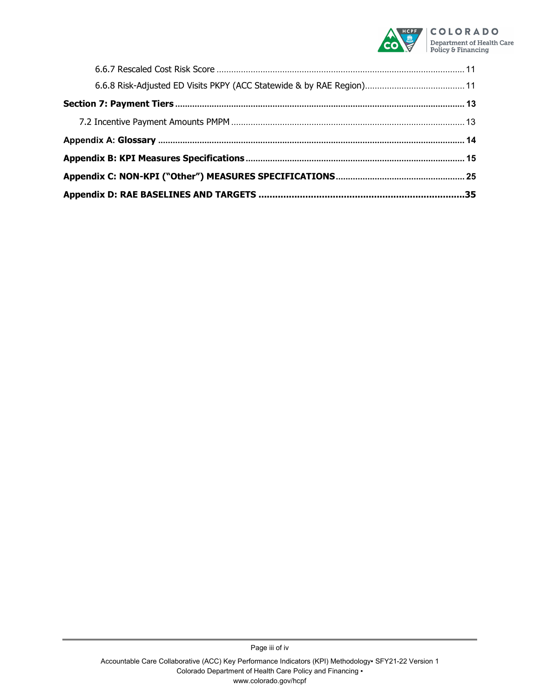

Page iii of iv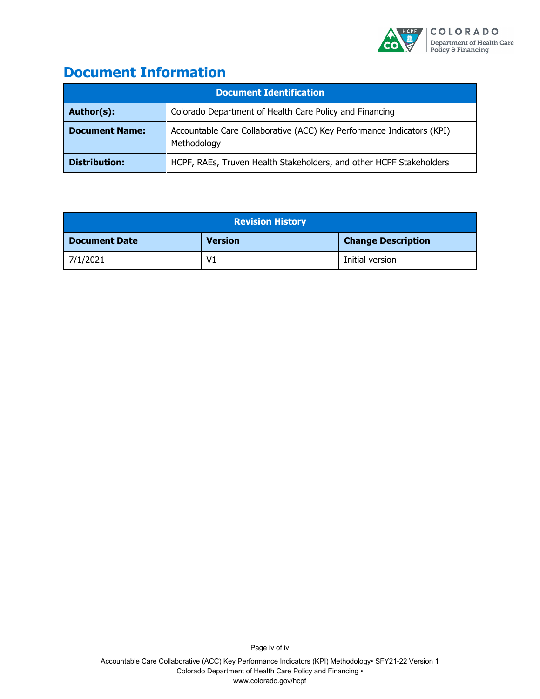

# <span id="page-3-0"></span>**Document Information**

| <b>Document Identification</b> |                                                                                      |  |  |  |  |
|--------------------------------|--------------------------------------------------------------------------------------|--|--|--|--|
| Author(s):                     | Colorado Department of Health Care Policy and Financing                              |  |  |  |  |
| <b>Document Name:</b>          | Accountable Care Collaborative (ACC) Key Performance Indicators (KPI)<br>Methodology |  |  |  |  |
| <b>Distribution:</b>           | HCPF, RAEs, Truven Health Stakeholders, and other HCPF Stakeholders                  |  |  |  |  |

| <b>Revision History</b> |                |                           |  |  |  |
|-------------------------|----------------|---------------------------|--|--|--|
| <b>Document Date</b>    | <b>Version</b> | <b>Change Description</b> |  |  |  |
| 7/1/2021                | V <sub>1</sub> | Initial version           |  |  |  |

Page iv of iv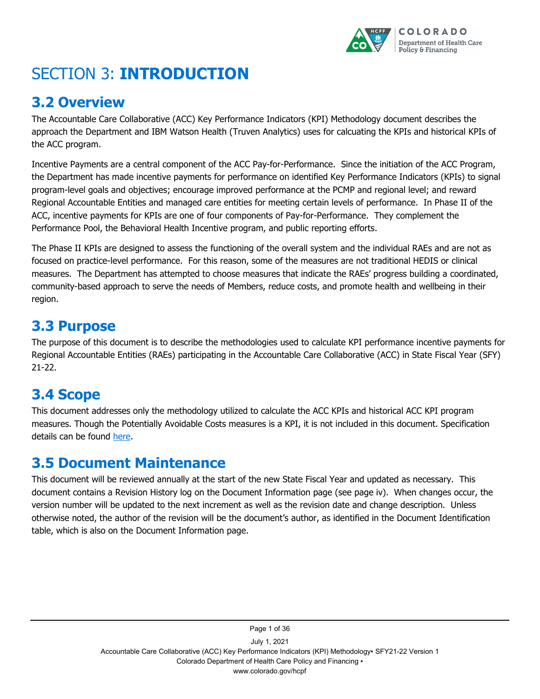

# <span id="page-4-0"></span>SECTION 3: **INTRODUCTION**

# <span id="page-4-1"></span>**3.2 Overview**

The Accountable Care Collaborative (ACC) Key Performance Indicators (KPI) Methodology document describes the approach the Department and IBM Watson Health (Truven Analytics) uses for calcuating the KPIs and historical KPIs of the ACC program.

Incentive Payments are a central component of the ACC Pay-for-Performance. Since the initiation of the ACC Program, the Department has made incentive payments for performance on identified Key Performance Indicators (KPIs) to signal program-level goals and objectives; encourage improved performance at the PCMP and regional level; and reward Regional Accountable Entities and managed care entities for meeting certain levels of performance. In Phase II of the ACC, incentive payments for KPIs are one of four components of Pay-for-Performance. They complement the Performance Pool, the Behavioral Health Incentive program, and public reporting efforts.

The Phase II KPIs are designed to assess the functioning of the overall system and the individual RAEs and are not as focused on practice-level performance. For this reason, some of the measures are not traditional HEDIS or clinical measures. The Department has attempted to choose measures that indicate the RAEs' progress building a coordinated, community-based approach to serve the needs of Members, reduce costs, and promote health and wellbeing in their region.

# <span id="page-4-2"></span>**3.3 Purpose**

The purpose of this document is to describe the methodologies used to calculate KPI performance incentive payments for Regional Accountable Entities (RAEs) participating in the Accountable Care Collaborative (ACC) in State Fiscal Year (SFY) 21-22.

# <span id="page-4-3"></span>**3.4 Scope**

This document addresses only the methodology utilized to calculate the ACC KPIs and historical ACC KPI program measures. Though the Potentially Avoidable Costs measures is a KPI, it is not included in this document. Specification details can be found [here.](https://hcpf.colorado.gov/sites/hcpf/files/Potentially%20Avoidable%20Costs%20FY%202020-20212%20June%202021_0.pdf)

# <span id="page-4-4"></span>**3.5 Document Maintenance**

This document will be reviewed annually at the start of the new State Fiscal Year and updated as necessary. This document contains a Revision History log on the Document Information page (see page iv). When changes occur, the version number will be updated to the next increment as well as the revision date and change description. Unless otherwise noted, the author of the revision will be the document's author, as identified in the Document Identification table, which is also on the Document Information page.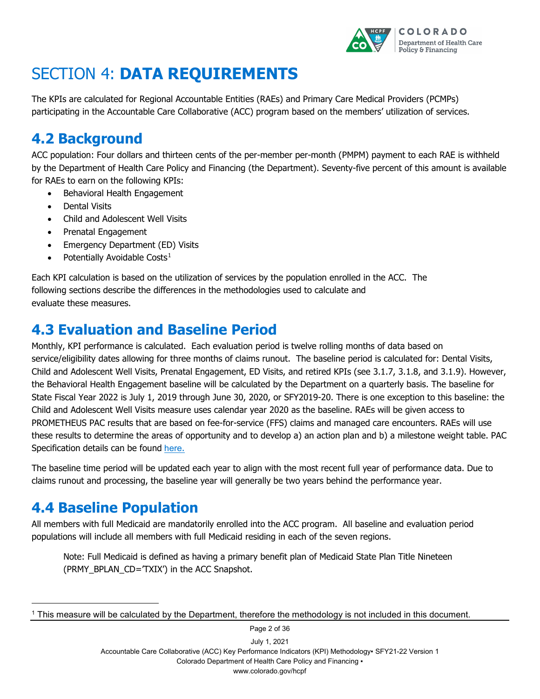

# <span id="page-5-0"></span>SECTION 4: **DATA REQUIREMENTS**

The KPIs are calculated for Regional Accountable Entities (RAEs) and Primary Care Medical Providers (PCMPs) participating in the Accountable Care Collaborative (ACC) program based on the members' utilization of services.

# <span id="page-5-1"></span>**4.2 Background**

ACC population: Four dollars and thirteen cents of the per-member per-month (PMPM) payment to each RAE is withheld by the Department of Health Care Policy and Financing (the Department). Seventy-five percent of this amount is available for RAEs to earn on the following KPIs:

- Behavioral Health Engagement
- Dental Visits
- Child and Adolescent Well Visits
- Prenatal Engagement
- Emergency Department (ED) Visits
- Potentially Avoidable Costs<sup>[1](#page-5-4)</sup>

Each KPI calculation is based on the utilization of services by the population enrolled in the ACC. The following sections describe the differences in the methodologies used to calculate and evaluate these measures.

# <span id="page-5-2"></span>**4.3 Evaluation and Baseline Period**

Monthly, KPI performance is calculated. Each evaluation period is twelve rolling months of data based on service/eligibility dates allowing for three months of claims runout. The baseline period is calculated for: Dental Visits, Child and Adolescent Well Visits, Prenatal Engagement, ED Visits, and retired KPIs (see 3.1.7, 3.1.8, and 3.1.9). However, the Behavioral Health Engagement baseline will be calculated by the Department on a quarterly basis. The baseline for State Fiscal Year 2022 is July 1, 2019 through June 30, 2020, or SFY2019-20. There is one exception to this baseline: the Child and Adolescent Well Visits measure uses calendar year 2020 as the baseline. RAEs will be given access to PROMETHEUS PAC results that are based on fee-for-service (FFS) claims and managed care encounters. RAEs will use these results to determine the areas of opportunity and to develop a) an action plan and b) a milestone weight table. PAC Specification details can be found [here](https://hcpf.colorado.gov/sites/hcpf/files/Potentially%20Avoidable%20Costs%20FY%202020-20212%20June%202021_0.pdf).

The baseline time period will be updated each year to align with the most recent full year of performance data. Due to claims runout and processing, the baseline year will generally be two years behind the performance year.

# <span id="page-5-3"></span>**4.4 Baseline Population**

-

All members with full Medicaid are mandatorily enrolled into the ACC program. All baseline and evaluation period populations will include all members with full Medicaid residing in each of the seven regions.

Note: Full Medicaid is defined as having a primary benefit plan of Medicaid State Plan Title Nineteen (PRMY\_BPLAN\_CD='TXIX') in the ACC Snapshot.

July 1, 2021 Accountable Care Collaborative (ACC) Key Performance Indicators (KPI) Methodology▪ SFY21-22 Version 1 Colorado Department of Health Care Policy and Financing ▪ www.colorado.gov/hcpf

Page 2 of 36

<span id="page-5-4"></span><sup>1</sup> This measure will be calculated by the Department, therefore the methodology is not included in this document.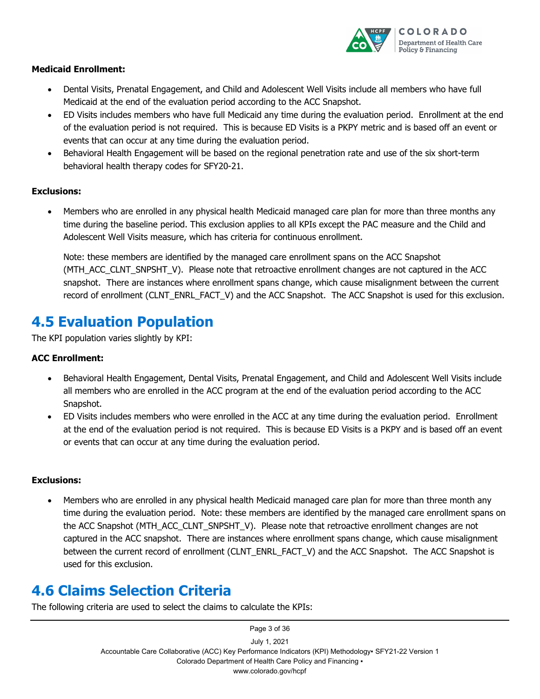

#### **Medicaid Enrollment:**

- Dental Visits, Prenatal Engagement, and Child and Adolescent Well Visits include all members who have full Medicaid at the end of the evaluation period according to the ACC Snapshot.
- ED Visits includes members who have full Medicaid any time during the evaluation period. Enrollment at the end of the evaluation period is not required. This is because ED Visits is a PKPY metric and is based off an event or events that can occur at any time during the evaluation period.
- Behavioral Health Engagement will be based on the regional penetration rate and use of the six short-term behavioral health therapy codes for SFY20-21.

#### **Exclusions:**

• Members who are enrolled in any physical health Medicaid managed care plan for more than three months any time during the baseline period. This exclusion applies to all KPIs except the PAC measure and the Child and Adolescent Well Visits measure, which has criteria for continuous enrollment.

Note: these members are identified by the managed care enrollment spans on the ACC Snapshot (MTH\_ACC\_CLNT\_SNPSHT\_V). Please note that retroactive enrollment changes are not captured in the ACC snapshot. There are instances where enrollment spans change, which cause misalignment between the current record of enrollment (CLNT\_ENRL\_FACT\_V) and the ACC Snapshot. The ACC Snapshot is used for this exclusion.

# <span id="page-6-0"></span>**4.5 Evaluation Population**

The KPI population varies slightly by KPI:

#### **ACC Enrollment:**

- Behavioral Health Engagement, Dental Visits, Prenatal Engagement, and Child and Adolescent Well Visits include all members who are enrolled in the ACC program at the end of the evaluation period according to the ACC Snapshot.
- ED Visits includes members who were enrolled in the ACC at any time during the evaluation period. Enrollment at the end of the evaluation period is not required. This is because ED Visits is a PKPY and is based off an event or events that can occur at any time during the evaluation period.

#### **Exclusions:**

• Members who are enrolled in any physical health Medicaid managed care plan for more than three month any time during the evaluation period. Note: these members are identified by the managed care enrollment spans on the ACC Snapshot (MTH\_ACC\_CLNT\_SNPSHT\_V). Please note that retroactive enrollment changes are not captured in the ACC snapshot. There are instances where enrollment spans change, which cause misalignment between the current record of enrollment (CLNT\_ENRL\_FACT\_V) and the ACC Snapshot. The ACC Snapshot is used for this exclusion.

# <span id="page-6-1"></span>**4.6 Claims Selection Criteria**

The following criteria are used to select the claims to calculate the KPIs: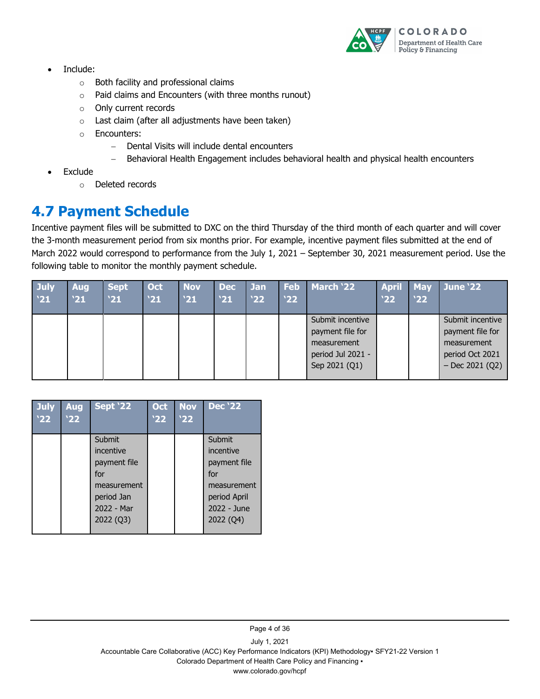

- Include:
	- o Both facility and professional claims
	- o Paid claims and Encounters (with three months runout)
	- o Only current records
	- $\circ$  Last claim (after all adjustments have been taken)
	- o Encounters:
		- − Dental Visits will include dental encounters
		- − Behavioral Health Engagement includes behavioral health and physical health encounters
- **Exclude** 
	- o Deleted records

# <span id="page-7-0"></span>**4.7 Payment Schedule**

Incentive payment files will be submitted to DXC on the third Thursday of the third month of each quarter and will cover the 3-month measurement period from six months prior. For example, incentive payment files submitted at the end of March 2022 would correspond to performance from the July 1, 2021 – September 30, 2021 measurement period. Use the following table to monitor the monthly payment schedule.

| <b>July</b><br>'21 | <b>Aug</b><br>21 | <b>Sept</b><br>21 | Oct<br>'21 | <b>Nov</b><br>'21 | Dec<br>'21 | Jan<br>'22' | Feb<br>'22 | March '22                                                                                 | <b>April</b><br>'22 | <b>May</b><br><b>22</b> | <b>June '22</b>                                                                             |
|--------------------|------------------|-------------------|------------|-------------------|------------|-------------|------------|-------------------------------------------------------------------------------------------|---------------------|-------------------------|---------------------------------------------------------------------------------------------|
|                    |                  |                   |            |                   |            |             |            | Submit incentive<br>payment file for<br>measurement<br>period Jul 2021 -<br>Sep 2021 (Q1) |                     |                         | Submit incentive<br>payment file for<br>measurement<br>period Oct 2021<br>$-$ Dec 2021 (Q2) |

| <b>July</b><br><b>Aug</b><br>'22<br>'22 | <b>Sept '22</b>                                                                                    | <b>Oct</b><br>'22 | <b>Nov</b><br>'22 | <b>Dec</b> '22                                                                                        |
|-----------------------------------------|----------------------------------------------------------------------------------------------------|-------------------|-------------------|-------------------------------------------------------------------------------------------------------|
|                                         | Submit<br>incentive<br>payment file<br>for<br>measurement<br>period Jan<br>2022 - Mar<br>2022 (Q3) |                   |                   | Submit<br>incentive<br>payment file<br>for<br>measurement<br>period April<br>2022 - June<br>2022 (Q4) |

Page 4 of 36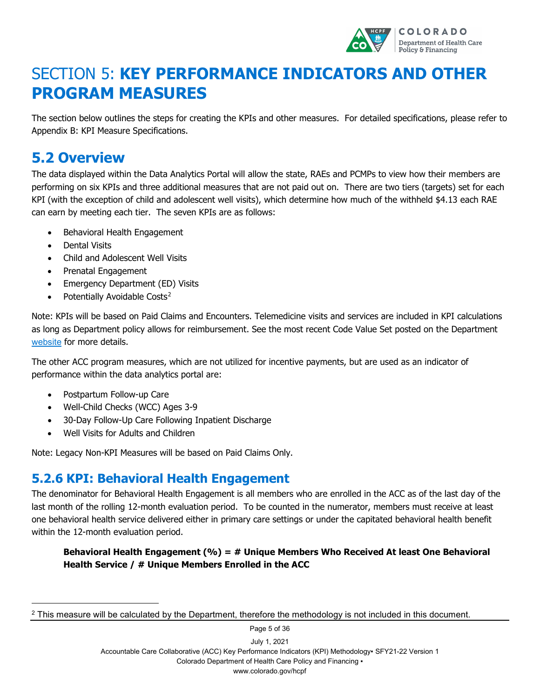

# <span id="page-8-0"></span>SECTION 5: **KEY PERFORMANCE INDICATORS AND OTHER PROGRAM MEASURES**

The section below outlines the steps for creating the KPIs and other measures. For detailed specifications, please refer to Appendix B: KPI Measure Specifications.

# <span id="page-8-1"></span>**5.2 Overview**

The data displayed within the Data Analytics Portal will allow the state, RAEs and PCMPs to view how their members are performing on six KPIs and three additional measures that are not paid out on. There are two tiers (targets) set for each KPI (with the exception of child and adolescent well visits), which determine how much of the withheld \$4.13 each RAE can earn by meeting each tier. The seven KPIs are as follows:

- Behavioral Health Engagement
- Dental Visits
- Child and Adolescent Well Visits
- Prenatal Engagement
- Emergency Department (ED) Visits
- Potentially Avoidable Costs<sup>[2](#page-8-3)</sup>

Note: KPIs will be based on Paid Claims and Encounters. Telemedicine visits and services are included in KPI calculations as long as Department policy allows for reimbursement. See the most recent Code Value Set posted on the Department [website](https://www.colorado.gov/pacific/hcpf/accountable-care-collaborative-phase-ii-provider-and-stakeholder-resource-center) for more details.

The other ACC program measures, which are not utilized for incentive payments, but are used as an indicator of performance within the data analytics portal are:

• Postpartum Follow-up Care

-

- Well-Child Checks (WCC) Ages 3-9
- 30-Day Follow-Up Care Following Inpatient Discharge
- Well Visits for Adults and Children

Note: Legacy Non-KPI Measures will be based on Paid Claims Only.

### <span id="page-8-2"></span>**5.2.6 KPI: Behavioral Health Engagement**

The denominator for Behavioral Health Engagement is all members who are enrolled in the ACC as of the last day of the last month of the rolling 12-month evaluation period. To be counted in the numerator, members must receive at least one behavioral health service delivered either in primary care settings or under the capitated behavioral health benefit within the 12-month evaluation period.

**Behavioral Health Engagement (%) = # Unique Members Who Received At least One Behavioral Health Service / # Unique Members Enrolled in the ACC**

July 1, 2021 Accountable Care Collaborative (ACC) Key Performance Indicators (KPI) Methodology▪ SFY21-22 Version 1 Colorado Department of Health Care Policy and Financing ▪ www.colorado.gov/hcpf

Page 5 of 36

<span id="page-8-3"></span><sup>&</sup>lt;sup>2</sup> This measure will be calculated by the Department, therefore the methodology is not included in this document.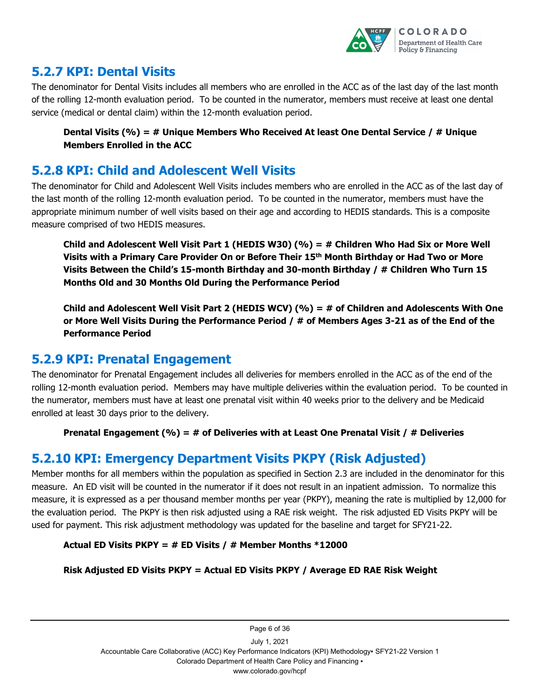

### <span id="page-9-0"></span>**5.2.7 KPI: Dental Visits**

The denominator for Dental Visits includes all members who are enrolled in the ACC as of the last day of the last month of the rolling 12-month evaluation period. To be counted in the numerator, members must receive at least one dental service (medical or dental claim) within the 12-month evaluation period.

#### **Dental Visits (%) = # Unique Members Who Received At least One Dental Service / # Unique Members Enrolled in the ACC**

### <span id="page-9-1"></span>**5.2.8 KPI: Child and Adolescent Well Visits**

The denominator for Child and Adolescent Well Visits includes members who are enrolled in the ACC as of the last day of the last month of the rolling 12-month evaluation period. To be counted in the numerator, members must have the appropriate minimum number of well visits based on their age and according to HEDIS standards. This is a composite measure comprised of two HEDIS measures.

**Child and Adolescent Well Visit Part 1 (HEDIS W30) (%) = # Children Who Had Six or More Well Visits with a Primary Care Provider On or Before Their 15th Month Birthday or Had Two or More Visits Between the Child's 15-month Birthday and 30-month Birthday / # Children Who Turn 15 Months Old and 30 Months Old During the Performance Period**

**Child and Adolescent Well Visit Part 2 (HEDIS WCV) (%) = # of Children and Adolescents With One or More Well Visits During the Performance Period / # of Members Ages 3-21 as of the End of the Performance Period**

### <span id="page-9-2"></span>**5.2.9 KPI: Prenatal Engagement**

The denominator for Prenatal Engagement includes all deliveries for members enrolled in the ACC as of the end of the rolling 12-month evaluation period. Members may have multiple deliveries within the evaluation period. To be counted in the numerator, members must have at least one prenatal visit within 40 weeks prior to the delivery and be Medicaid enrolled at least 30 days prior to the delivery.

#### **Prenatal Engagement (%) = # of Deliveries with at Least One Prenatal Visit / # Deliveries**

### <span id="page-9-3"></span>**5.2.10 KPI: Emergency Department Visits PKPY (Risk Adjusted)**

Member months for all members within the population as specified in Section 2.3 are included in the denominator for this measure. An ED visit will be counted in the numerator if it does not result in an inpatient admission. To normalize this measure, it is expressed as a per thousand member months per year (PKPY), meaning the rate is multiplied by 12,000 for the evaluation period. The PKPY is then risk adjusted using a RAE risk weight. The risk adjusted ED Visits PKPY will be used for payment. This risk adjustment methodology was updated for the baseline and target for SFY21-22.

#### **Actual ED Visits PKPY = # ED Visits / # Member Months \*12000**

#### **Risk Adjusted ED Visits PKPY = Actual ED Visits PKPY / Average ED RAE Risk Weight**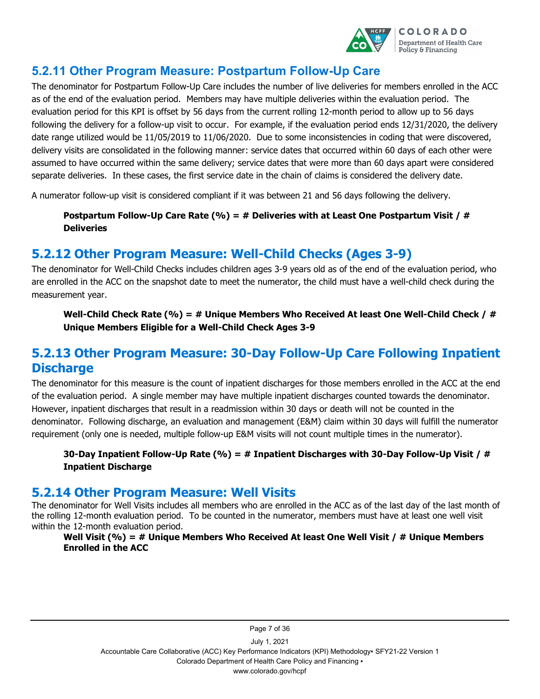

### <span id="page-10-0"></span>**5.2.11 Other Program Measure: Postpartum Follow-Up Care**

The denominator for Postpartum Follow-Up Care includes the number of live deliveries for members enrolled in the ACC as of the end of the evaluation period. Members may have multiple deliveries within the evaluation period. The evaluation period for this KPI is offset by 56 days from the current rolling 12-month period to allow up to 56 days following the delivery for a follow-up visit to occur. For example, if the evaluation period ends 12/31/2020, the delivery date range utilized would be 11/05/2019 to 11/06/2020. Due to some inconsistencies in coding that were discovered, delivery visits are consolidated in the following manner: service dates that occurred within 60 days of each other were assumed to have occurred within the same delivery; service dates that were more than 60 days apart were considered separate deliveries. In these cases, the first service date in the chain of claims is considered the delivery date.

A numerator follow-up visit is considered compliant if it was between 21 and 56 days following the delivery.

#### **Postpartum Follow-Up Care Rate (%) = # Deliveries with at Least One Postpartum Visit / # Deliveries**

### <span id="page-10-1"></span>**5.2.12 Other Program Measure: Well-Child Checks (Ages 3-9)**

The denominator for Well-Child Checks includes children ages 3-9 years old as of the end of the evaluation period, who are enrolled in the ACC on the snapshot date to meet the numerator, the child must have a well-child check during the measurement year.

**Well-Child Check Rate (%) = # Unique Members Who Received At least One Well-Child Check / # Unique Members Eligible for a Well-Child Check Ages 3-9**

### <span id="page-10-2"></span>**5.2.13 Other Program Measure: 30-Day Follow-Up Care Following Inpatient Discharge**

The denominator for this measure is the count of inpatient discharges for those members enrolled in the ACC at the end of the evaluation period. A single member may have multiple inpatient discharges counted towards the denominator. However, inpatient discharges that result in a readmission within 30 days or death will not be counted in the denominator. Following discharge, an evaluation and management (E&M) claim within 30 days will fulfill the numerator requirement (only one is needed, multiple follow-up E&M visits will not count multiple times in the numerator).

#### **30-Day Inpatient Follow-Up Rate (%) = # Inpatient Discharges with 30-Day Follow-Up Visit / # Inpatient Discharge**

### <span id="page-10-3"></span>**5.2.14 Other Program Measure: Well Visits**

The denominator for Well Visits includes all members who are enrolled in the ACC as of the last day of the last month of the rolling 12-month evaluation period. To be counted in the numerator, members must have at least one well visit within the 12-month evaluation period.

**Well Visit (%) = # Unique Members Who Received At least One Well Visit / # Unique Members Enrolled in the ACC**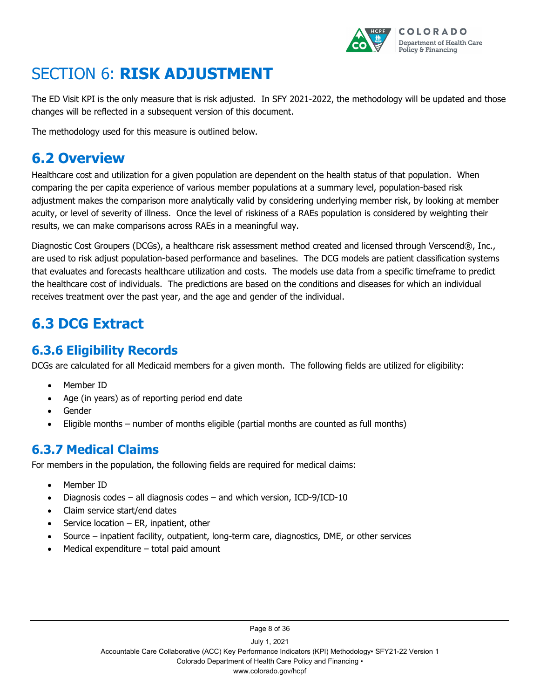

# <span id="page-11-0"></span>SECTION 6: **RISK ADJUSTMENT**

The ED Visit KPI is the only measure that is risk adjusted. In SFY 2021-2022, the methodology will be updated and those changes will be reflected in a subsequent version of this document.

The methodology used for this measure is outlined below.

# <span id="page-11-1"></span>**6.2 Overview**

Healthcare cost and utilization for a given population are dependent on the health status of that population. When comparing the per capita experience of various member populations at a summary level, population-based risk adjustment makes the comparison more analytically valid by considering underlying member risk, by looking at member acuity, or level of severity of illness. Once the level of riskiness of a RAEs population is considered by weighting their results, we can make comparisons across RAEs in a meaningful way.

Diagnostic Cost Groupers (DCGs), a healthcare risk assessment method created and licensed through Verscend®, Inc., are used to risk adjust population-based performance and baselines. The DCG models are patient classification systems that evaluates and forecasts healthcare utilization and costs. The models use data from a specific timeframe to predict the healthcare cost of individuals. The predictions are based on the conditions and diseases for which an individual receives treatment over the past year, and the age and gender of the individual.

# <span id="page-11-2"></span>**6.3 DCG Extract**

### <span id="page-11-3"></span>**6.3.6 Eligibility Records**

DCGs are calculated for all Medicaid members for a given month. The following fields are utilized for eligibility:

- Member ID
- Age (in years) as of reporting period end date
- Gender
- Eligible months number of months eligible (partial months are counted as full months)

### <span id="page-11-4"></span>**6.3.7 Medical Claims**

For members in the population, the following fields are required for medical claims:

- Member ID
- Diagnosis codes all diagnosis codes and which version, ICD-9/ICD-10
- Claim service start/end dates
- Service location  $-$  ER, inpatient, other
- Source inpatient facility, outpatient, long-term care, diagnostics, DME, or other services
- Medical expenditure  $-$  total paid amount

Page 8 of 36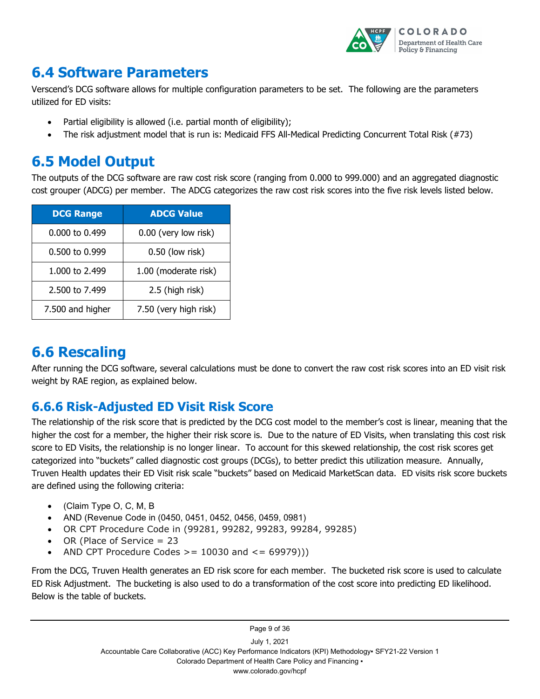

# <span id="page-12-0"></span>**6.4 Software Parameters**

Verscend's DCG software allows for multiple configuration parameters to be set. The following are the parameters utilized for ED visits:

- Partial eligibility is allowed (i.e. partial month of eligibility);
- The risk adjustment model that is run is: Medicaid FFS All-Medical Predicting Concurrent Total Risk (#73)

# <span id="page-12-1"></span>**6.5 Model Output**

The outputs of the DCG software are raw cost risk score (ranging from 0.000 to 999.000) and an aggregated diagnostic cost grouper (ADCG) per member. The ADCG categorizes the raw cost risk scores into the five risk levels listed below.

| <b>DCG Range</b> | <b>ADCG Value</b>     |
|------------------|-----------------------|
| 0.000 to 0.499   | 0.00 (very low risk)  |
| 0.500 to 0.999   | $0.50$ (low risk)     |
| 1,000 to 2,499   | 1.00 (moderate risk)  |
| 2.500 to 7.499   | 2.5 (high risk)       |
| 7.500 and higher | 7.50 (very high risk) |

# <span id="page-12-2"></span>**6.6 Rescaling**

After running the DCG software, several calculations must be done to convert the raw cost risk scores into an ED visit risk weight by RAE region, as explained below.

## <span id="page-12-3"></span>**6.6.6 Risk-Adjusted ED Visit Risk Score**

The relationship of the risk score that is predicted by the DCG cost model to the member's cost is linear, meaning that the higher the cost for a member, the higher their risk score is. Due to the nature of ED Visits, when translating this cost risk score to ED Visits, the relationship is no longer linear. To account for this skewed relationship, the cost risk scores get categorized into "buckets" called diagnostic cost groups (DCGs), to better predict this utilization measure. Annually, Truven Health updates their ED Visit risk scale "buckets" based on Medicaid MarketScan data. ED visits risk score buckets are defined using the following criteria:

- (Claim Type O, C, M, B
- AND (Revenue Code in (0450, 0451, 0452, 0456, 0459, 0981)
- OR CPT Procedure Code in (99281, 99282, 99283, 99284, 99285)
- OR (Place of Service = 23
- AND CPT Procedure Codes  $>= 10030$  and  $<= 69979$ ))

From the DCG, Truven Health generates an ED risk score for each member. The bucketed risk score is used to calculate ED Risk Adjustment. The bucketing is also used to do a transformation of the cost score into predicting ED likelihood. Below is the table of buckets.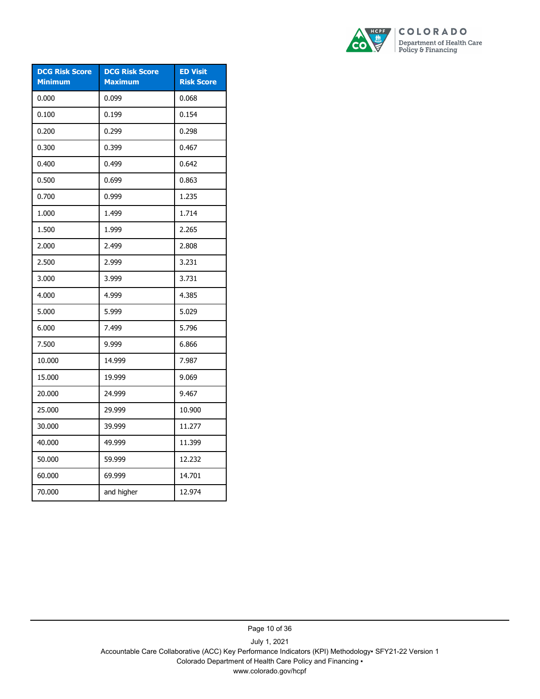

| <b>DCG Risk Score</b><br><b>Minimum</b> | <b>DCG Risk Score</b><br><b>Maximum</b> | <b>ED Visit</b><br><b>Risk Score</b> |
|-----------------------------------------|-----------------------------------------|--------------------------------------|
| 0.000                                   | 0.099                                   | 0.068                                |
| 0.100                                   | 0.199                                   | 0.154                                |
| 0.200                                   | 0.299                                   | 0.298                                |
| 0.300                                   | 0.399                                   | 0.467                                |
| 0.400                                   | 0.499                                   | 0.642                                |
| 0.500                                   | 0.699                                   | 0.863                                |
| 0.700                                   | 0.999                                   | 1.235                                |
| 1.000                                   | 1.499                                   | 1.714                                |
| 1.500                                   | 1.999                                   | 2.265                                |
| 2.000                                   | 2.499                                   | 2.808                                |
| 2.500                                   | 2.999                                   | 3.231                                |
| 3.000                                   | 3.999                                   | 3.731                                |
| 4.000                                   | 4.999                                   | 4.385                                |
| 5.000                                   | 5.999                                   | 5.029                                |
| 6.000                                   | 7.499                                   | 5.796                                |
| 7.500                                   | 9.999                                   | 6.866                                |
| 10.000                                  | 14.999                                  | 7.987                                |
| 15.000                                  | 19.999                                  | 9.069                                |
| 20.000                                  | 24.999                                  | 9.467                                |
| 25.000                                  | 29.999                                  | 10.900                               |
| 30.000                                  | 39.999                                  | 11.277                               |
| 40.000                                  | 49.999                                  | 11.399                               |
| 50.000                                  | 59.999                                  | 12.232                               |
| 60.000                                  | 69.999                                  | 14.701                               |
| 70.000                                  | and higher                              | 12.974                               |

Page 10 of 36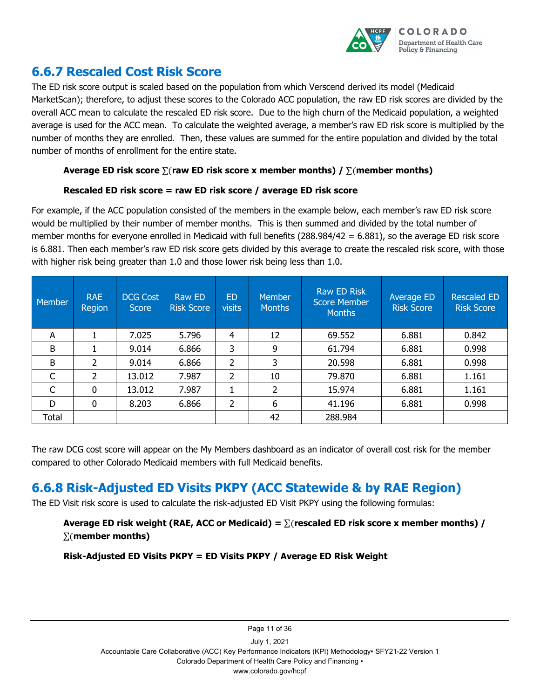

### <span id="page-14-0"></span>**6.6.7 Rescaled Cost Risk Score**

The ED risk score output is scaled based on the population from which Verscend derived its model (Medicaid MarketScan); therefore, to adjust these scores to the Colorado ACC population, the raw ED risk scores are divided by the overall ACC mean to calculate the rescaled ED risk score. Due to the high churn of the Medicaid population, a weighted average is used for the ACC mean. To calculate the weighted average, a member's raw ED risk score is multiplied by the number of months they are enrolled. Then, these values are summed for the entire population and divided by the total number of months of enrollment for the entire state.

#### **Average ED risk score** ∑(**raw ED risk score x member months) /** ∑(**member months)**

#### **Rescaled ED risk score = raw ED risk score / average ED risk score**

For example, if the ACC population consisted of the members in the example below, each member's raw ED risk score would be multiplied by their number of member months. This is then summed and divided by the total number of member months for everyone enrolled in Medicaid with full benefits (288.984/42 = 6.881), so the average ED risk score is 6.881. Then each member's raw ED risk score gets divided by this average to create the rescaled risk score, with those with higher risk being greater than 1.0 and those lower risk being less than 1.0.

| Member | <b>RAE</b><br>Region | <b>DCG Cost</b><br><b>Score</b> | <b>Raw ED</b><br><b>Risk Score</b> | <b>ED</b><br><b>visits</b> | <b>Member</b><br><b>Months</b> | <b>Raw ED Risk</b><br><b>Score Member</b><br><b>Months</b> | Average ED<br><b>Risk Score</b> | <b>Rescaled ED</b><br><b>Risk Score</b> |
|--------|----------------------|---------------------------------|------------------------------------|----------------------------|--------------------------------|------------------------------------------------------------|---------------------------------|-----------------------------------------|
| A      |                      | 7.025                           | 5.796                              | $\overline{4}$             | 12                             | 69.552                                                     | 6.881                           | 0.842                                   |
| B      |                      | 9.014                           | 6.866                              | 3                          | 9                              | 61.794                                                     | 6.881                           | 0.998                                   |
| B      | 2                    | 9.014                           | 6.866                              | 2                          | 3                              | 20.598                                                     | 6.881                           | 0.998                                   |
| C      | 2                    | 13.012                          | 7.987                              | 2                          | 10                             | 79.870                                                     | 6.881                           | 1.161                                   |
| C      | 0                    | 13.012                          | 7.987                              |                            | 2                              | 15.974                                                     | 6.881                           | 1.161                                   |
| D      | 0                    | 8.203                           | 6.866                              | 2                          | 6                              | 41.196                                                     | 6.881                           | 0.998                                   |
| Total  |                      |                                 |                                    |                            | 42                             | 288.984                                                    |                                 |                                         |

The raw DCG cost score will appear on the My Members dashboard as an indicator of overall cost risk for the member compared to other Colorado Medicaid members with full Medicaid benefits.

## <span id="page-14-1"></span>**6.6.8 Risk-Adjusted ED Visits PKPY (ACC Statewide & by RAE Region)**

The ED Visit risk score is used to calculate the risk-adjusted ED Visit PKPY using the following formulas:

### **Average ED risk weight (RAE, ACC or Medicaid) =** ∑(**rescaled ED risk score x member months) /**  ∑(**member months)**

**Risk-Adjusted ED Visits PKPY = ED Visits PKPY / Average ED Risk Weight**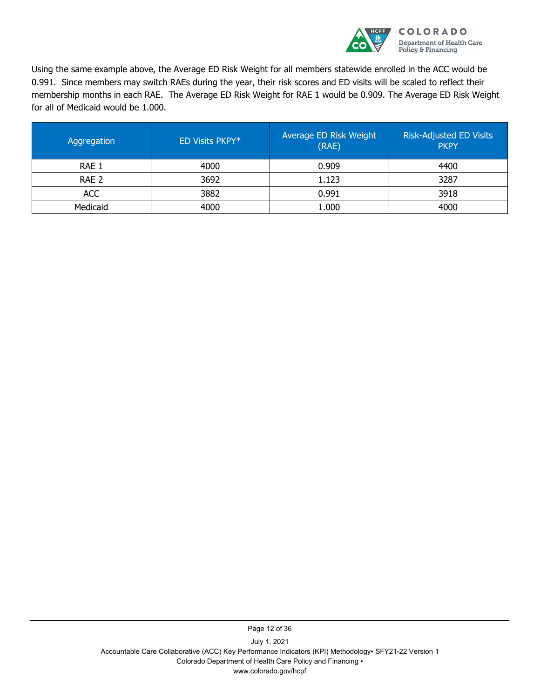

Using the same example above, the Average ED Risk Weight for all members statewide enrolled in the ACC would be 0.991. Since members may switch RAEs during the year, their risk scores and ED visits will be scaled to reflect their membership months in each RAE. The Average ED Risk Weight for RAE 1 would be 0.909. The Average ED Risk Weight for all of Medicaid would be 1.000.

| Aggregation | ED Visits PKPY* | Average ED Risk Weight<br>(RAE) | <b>Risk-Adjusted ED Visits</b><br><b>PKPY</b> |
|-------------|-----------------|---------------------------------|-----------------------------------------------|
| RAE 1       | 4000            | 0.909                           | 4400                                          |
| RAE 2       | 3692            | 1.123                           | 3287                                          |
| <b>ACC</b>  | 3882            | 0.991                           | 3918                                          |
| Medicaid    | 4000            | 1.000                           | 4000                                          |

July 1, 2021 Accountable Care Collaborative (ACC) Key Performance Indicators (KPI) Methodology▪ SFY21-22 Version 1 Colorado Department of Health Care Policy and Financing ▪ www.colorado.gov/hcpf

Page 12 of 36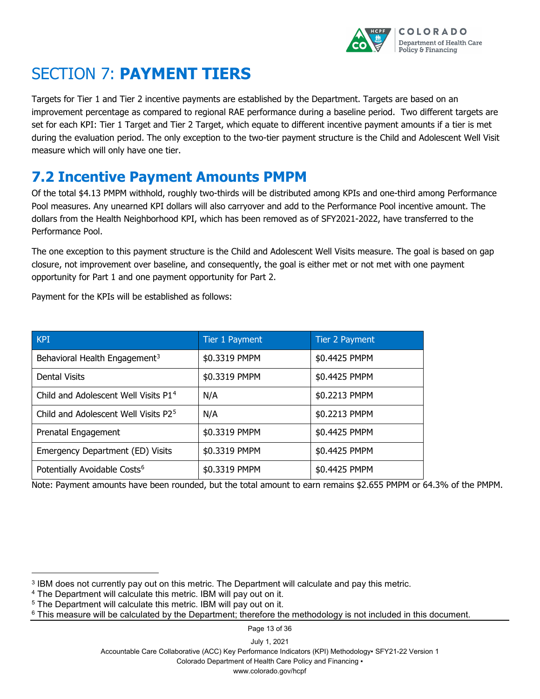

# <span id="page-16-0"></span>SECTION 7: **PAYMENT TIERS**

Targets for Tier 1 and Tier 2 incentive payments are established by the Department. Targets are based on an improvement percentage as compared to regional RAE performance during a baseline period. Two different targets are set for each KPI: Tier 1 Target and Tier 2 Target, which equate to different incentive payment amounts if a tier is met during the evaluation period. The only exception to the two-tier payment structure is the Child and Adolescent Well Visit measure which will only have one tier.

# <span id="page-16-1"></span>**7.2 Incentive Payment Amounts PMPM**

Of the total \$4.13 PMPM withhold, roughly two-thirds will be distributed among KPIs and one-third among Performance Pool measures. Any unearned KPI dollars will also carryover and add to the Performance Pool incentive amount. The dollars from the Health Neighborhood KPI, which has been removed as of SFY2021-2022, have transferred to the Performance Pool.

The one exception to this payment structure is the Child and Adolescent Well Visits measure. The goal is based on gap closure, not improvement over baseline, and consequently, the goal is either met or not met with one payment opportunity for Part 1 and one payment opportunity for Part 2.

Payment for the KPIs will be established as follows:

| <b>KPT</b>                                       | Tier 1 Payment | Tier 2 Payment |
|--------------------------------------------------|----------------|----------------|
| Behavioral Health Engagement <sup>3</sup>        | \$0.3319 PMPM  | \$0.4425 PMPM  |
| <b>Dental Visits</b>                             | \$0.3319 PMPM  | \$0.4425 PMPM  |
| Child and Adolescent Well Visits P1 <sup>4</sup> | N/A            | \$0.2213 PMPM  |
| Child and Adolescent Well Visits P2 <sup>5</sup> | N/A            | \$0.2213 PMPM  |
| Prenatal Engagement                              | \$0.3319 PMPM  | \$0.4425 PMPM  |
| Emergency Department (ED) Visits                 | \$0.3319 PMPM  | \$0.4425 PMPM  |
| Potentially Avoidable Costs <sup>6</sup>         | \$0.3319 PMPM  | \$0.4425 PMPM  |

Note: Payment amounts have been rounded, but the total amount to earn remains \$2.655 PMPM or 64.3% of the PMPM.

j

Page 13 of 36

July 1, 2021

Accountable Care Collaborative (ACC) Key Performance Indicators (KPI) Methodology▪ SFY21-22 Version 1

Colorado Department of Health Care Policy and Financing ▪

www.colorado.gov/hcpf

<span id="page-16-2"></span><sup>3</sup> IBM does not currently pay out on this metric. The Department will calculate and pay this metric.

<span id="page-16-3"></span><sup>4</sup> The Department will calculate this metric. IBM will pay out on it.

<span id="page-16-4"></span><sup>5</sup> The Department will calculate this metric. IBM will pay out on it.

<span id="page-16-5"></span> $6$  This measure will be calculated by the Department; therefore the methodology is not included in this document.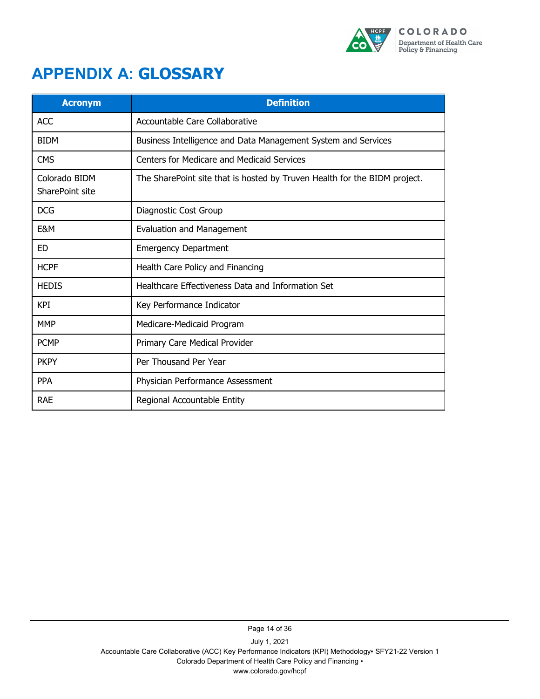

# <span id="page-17-0"></span>**APPENDIX A: GLOSSARY**

| <b>Acronym</b>                   | <b>Definition</b>                                                         |
|----------------------------------|---------------------------------------------------------------------------|
| <b>ACC</b>                       | Accountable Care Collaborative                                            |
| <b>BIDM</b>                      | Business Intelligence and Data Management System and Services             |
| <b>CMS</b>                       | Centers for Medicare and Medicaid Services                                |
| Colorado BIDM<br>SharePoint site | The SharePoint site that is hosted by Truven Health for the BIDM project. |
| <b>DCG</b>                       | Diagnostic Cost Group                                                     |
| E&M                              | <b>Evaluation and Management</b>                                          |
| <b>ED</b>                        | <b>Emergency Department</b>                                               |
| <b>HCPF</b>                      | Health Care Policy and Financing                                          |
| <b>HEDIS</b>                     | Healthcare Effectiveness Data and Information Set                         |
| <b>KPI</b>                       | Key Performance Indicator                                                 |
| <b>MMP</b>                       | Medicare-Medicaid Program                                                 |
| <b>PCMP</b>                      | Primary Care Medical Provider                                             |
| <b>PKPY</b>                      | Per Thousand Per Year                                                     |
| <b>PPA</b>                       | Physician Performance Assessment                                          |
| <b>RAE</b>                       | Regional Accountable Entity                                               |

Page 14 of 36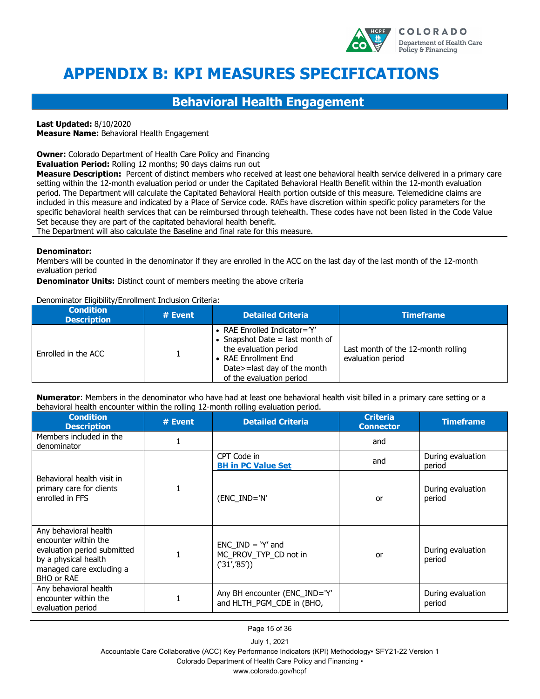

# <span id="page-18-0"></span>**APPENDIX B: KPI MEASURES SPECIFICATIONS**

### **Behavioral Health Engagement**

**Last Updated:** 8/10/2020

**Measure Name:** Behavioral Health Engagement

**Owner:** Colorado Department of Health Care Policy and Financing

**Evaluation Period:** Rolling 12 months; 90 days claims run out

**Measure Description:** Percent of distinct members who received at least one behavioral health service delivered in a primary care setting within the 12-month evaluation period or under the Capitated Behavioral Health Benefit within the 12-month evaluation period. The Department will calculate the Capitated Behavioral Health portion outside of this measure. Telemedicine claims are included in this measure and indicated by a Place of Service code. RAEs have discretion within specific policy parameters for the specific behavioral health services that can be reimbursed through telehealth. These codes have not been listed in the Code Value Set because they are part of the capitated behavioral health benefit.

The Department will also calculate the Baseline and final rate for this measure.

#### **Denominator:**

Members will be counted in the denominator if they are enrolled in the ACC on the last day of the last month of the 12-month evaluation period

**Denominator Units:** Distinct count of members meeting the above criteria

Denominator Eligibility/Enrollment Inclusion Criteria:

| <b>Condition</b><br><b>Description</b> | # Event | <b>Detailed Criteria</b>                                                                                                                                                        | <b>Timeframe</b>                                        |
|----------------------------------------|---------|---------------------------------------------------------------------------------------------------------------------------------------------------------------------------------|---------------------------------------------------------|
| Enrolled in the ACC                    |         | • RAE Enrolled Indicator= $Y'$<br>• Snapshot Date $=$ last month of<br>the evaluation period<br>• RAE Enrollment End<br>Date>=last day of the month<br>of the evaluation period | Last month of the 12-month rolling<br>evaluation period |

**Numerator**: Members in the denominator who have had at least one behavioral health visit billed in a primary care setting or a behavioral health encounter within the rolling 12-month rolling evaluation period.

| <b>Condition</b><br><b>Description</b>                                                                                                                | $#$ Event | <b>Detailed Criteria</b>                                    | <b>Criteria</b><br><b>Connector</b> | <b>Timeframe</b>            |
|-------------------------------------------------------------------------------------------------------------------------------------------------------|-----------|-------------------------------------------------------------|-------------------------------------|-----------------------------|
| Members included in the<br>denominator                                                                                                                |           |                                                             | and                                 |                             |
|                                                                                                                                                       |           | CPT Code in<br><b>BH in PC Value Set</b>                    | and                                 | During evaluation<br>period |
| Behavioral health visit in<br>primary care for clients<br>enrolled in FFS                                                                             |           | (ENC_IND='N'                                                | or                                  | During evaluation<br>period |
| Any behavioral health<br>encounter within the<br>evaluation period submitted<br>by a physical health<br>managed care excluding a<br><b>BHO or RAE</b> |           | $ENC$ IND = $Y'$ and<br>MC PROV TYP CD not in<br>('31'/85') | or                                  | During evaluation<br>period |
| Any behavioral health<br>encounter within the<br>evaluation period                                                                                    |           | Any BH encounter (ENC IND='Y'<br>and HLTH PGM CDE in (BHO,  |                                     | During evaluation<br>period |

Page 15 of 36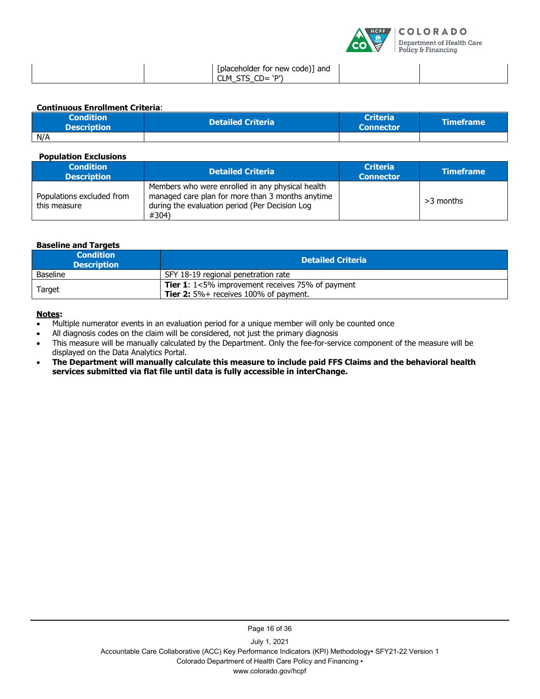

| [placeholder for new code)] and<br>^חי<br>$\sim$<br>ີ∟M<br>$\sim$<br>ັ |
|------------------------------------------------------------------------|
|------------------------------------------------------------------------|

**Continuous Enrollment Criteria**:

| <b>Condition</b><br><b>Description</b> | <b>Detailed Criteria</b> | <b>Criteria</b><br><b>Connector</b> | <b>NTimeframe</b> |
|----------------------------------------|--------------------------|-------------------------------------|-------------------|
| N/A                                    |                          |                                     |                   |

**Population Exclusions** 

| <b>Condition</b><br><b>Description</b>    | <b>Detailed Criteria</b>                                                                                                                                        | <b>Criteria</b><br><b>Connector</b> | <b>Timeframe</b> |
|-------------------------------------------|-----------------------------------------------------------------------------------------------------------------------------------------------------------------|-------------------------------------|------------------|
| Populations excluded from<br>this measure | Members who were enrolled in any physical health<br>managed care plan for more than 3 months anytime<br>during the evaluation period (Per Decision Log<br>#304) |                                     | $>3$ months      |

#### **Baseline and Targets**

| <b>Condition</b><br><b>Description</b> | <b>Detailed Criteria</b>                                                                                         |
|----------------------------------------|------------------------------------------------------------------------------------------------------------------|
| <b>Baseline</b>                        | SFY 18-19 regional penetration rate                                                                              |
| Target                                 | <b>Tier 1:</b> $1 < 5\%$ improvement receives 75% of payment<br><b>Tier 2:</b> $5\%$ + receives 100% of payment. |

#### **Notes:**

- Multiple numerator events in an evaluation period for a unique member will only be counted once
- All diagnosis codes on the claim will be considered, not just the primary diagnosis
- This measure will be manually calculated by the Department. Only the fee-for-service component of the measure will be displayed on the Data Analytics Portal.
- **The Department will manually calculate this measure to include paid FFS Claims and the behavioral health services submitted via flat file until data is fully accessible in interChange.**

Page 16 of 36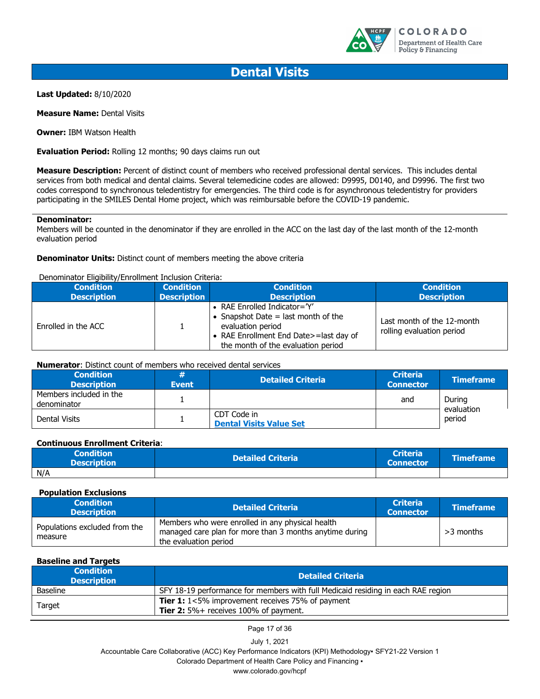

### **Dental Visits**

**Last Updated:** 8/10/2020

**Measure Name: Dental Visits** 

**Owner:** IBM Watson Health

**Evaluation Period:** Rolling 12 months; 90 days claims run out

**Measure Description:** Percent of distinct count of members who received professional dental services. This includes dental services from both medical and dental claims. Several telemedicine codes are allowed: D9995, D0140, and D9996. The first two codes correspond to synchronous teledentistry for emergencies. The third code is for asynchronous teledentistry for providers participating in the SMILES Dental Home project, which was reimbursable before the COVID-19 pandemic.

#### **Denominator:**

Members will be counted in the denominator if they are enrolled in the ACC on the last day of the last month of the 12-month evaluation period

#### **Denominator Units:** Distinct count of members meeting the above criteria

#### Denominator Eligibility/Enrollment Inclusion Criteria:

| <b>Condition</b>    | <b>Condition</b>   | <b>Condition</b>                                                                                                                                                             | <b>Condition</b>                                        |
|---------------------|--------------------|------------------------------------------------------------------------------------------------------------------------------------------------------------------------------|---------------------------------------------------------|
| <b>Description</b>  | <b>Description</b> | <b>Description</b>                                                                                                                                                           | <b>Description</b>                                      |
| Enrolled in the ACC |                    | • RAE Enrolled Indicator= $Y'$<br>• Snapshot Date $=$ last month of the<br>evaluation period<br>• RAE Enrollment End Date>=last day of<br>the month of the evaluation period | Last month of the 12-month<br>rolling evaluation period |

#### **Numerator**: Distinct count of members who received dental services

| <b>Condition</b><br><b>Description</b> | #<br><b>Event</b> | <b>Detailed Criteria</b>                      | <b>Criteria</b><br><b>Connector</b> | <b>Timeframe</b>     |
|----------------------------------------|-------------------|-----------------------------------------------|-------------------------------------|----------------------|
| Members included in the<br>denominator |                   |                                               | and                                 | During<br>evaluation |
| Dental Visits                          |                   | CDT Code in<br><b>Dental Visits Value Set</b> |                                     | period               |

#### **Continuous Enrollment Criteria**:

| <b>Condition</b><br><b>Description</b> | <b>Detailed Criteria</b> | <b>Criteria</b><br><b>Connector</b> | <b>Timeframe</b> |
|----------------------------------------|--------------------------|-------------------------------------|------------------|
| N/A                                    |                          |                                     |                  |

#### **Population Exclusions**

| <b>Condition</b><br><b>Description</b>   | <b>Detailed Criteria</b>                                                                                                             | <b>Criteria</b><br><b>Connector</b> | <b>Timeframe</b> |
|------------------------------------------|--------------------------------------------------------------------------------------------------------------------------------------|-------------------------------------|------------------|
| Populations excluded from the<br>measure | Members who were enrolled in any physical health<br>managed care plan for more than 3 months anytime during<br>the evaluation period |                                     | $>3$ months      |

#### **Baseline and Targets**

| <b>Condition</b><br><b>Description</b> | <b>Detailed Criteria</b>                                                                                         |
|----------------------------------------|------------------------------------------------------------------------------------------------------------------|
| <b>Baseline</b>                        | SFY 18-19 performance for members with full Medicaid residing in each RAE region                                 |
| Target                                 | <b>Tier 1:</b> $1 < 5\%$ improvement receives 75% of payment<br><b>Tier 2:</b> $5\%$ + receives 100% of payment. |

Page 17 of 36

July 1, 2021

Accountable Care Collaborative (ACC) Key Performance Indicators (KPI) Methodology▪ SFY21-22 Version 1

Colorado Department of Health Care Policy and Financing ▪

www.colorado.gov/hcpf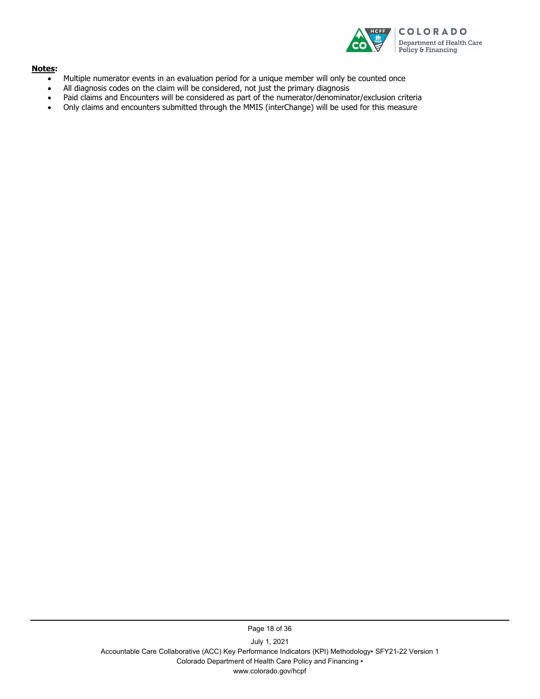

#### **Notes:**

- Multiple numerator events in an evaluation period for a unique member will only be counted once
- All diagnosis codes on the claim will be considered, not just the primary diagnosis
- Paid claims and Encounters will be considered as part of the numerator/denominator/exclusion criteria
- Only claims and encounters submitted through the MMIS (interChange) will be used for this measure

July 1, 2021 Accountable Care Collaborative (ACC) Key Performance Indicators (KPI) Methodology▪ SFY21-22 Version 1 Colorado Department of Health Care Policy and Financing ▪ www.colorado.gov/hcpf

Page 18 of 36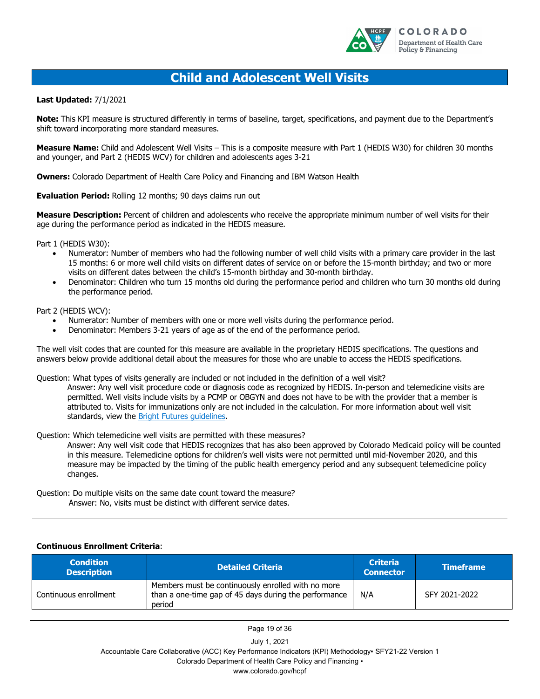

### **Child and Adolescent Well Visits**

**Last Updated:** 7/1/2021

**Note:** This KPI measure is structured differently in terms of baseline, target, specifications, and payment due to the Department's shift toward incorporating more standard measures.

**Measure Name:** Child and Adolescent Well Visits – This is a composite measure with Part 1 (HEDIS W30) for children 30 months and younger, and Part 2 (HEDIS WCV) for children and adolescents ages 3-21

**Owners:** Colorado Department of Health Care Policy and Financing and IBM Watson Health

**Evaluation Period: Rolling 12 months: 90 days claims run out** 

**Measure Description:** Percent of children and adolescents who receive the appropriate minimum number of well visits for their age during the performance period as indicated in the HEDIS measure.

Part 1 (HEDIS W30):

- Numerator: Number of members who had the following number of well child visits with a primary care provider in the last 15 months: 6 or more well child visits on different dates of service on or before the 15-month birthday; and two or more visits on different dates between the child's 15-month birthday and 30-month birthday.
- Denominator: Children who turn 15 months old during the performance period and children who turn 30 months old during the performance period.

Part 2 (HEDIS WCV):

- Numerator: Number of members with one or more well visits during the performance period.
- Denominator: Members 3-21 years of age as of the end of the performance period.

The well visit codes that are counted for this measure are available in the proprietary HEDIS specifications. The questions and answers below provide additional detail about the measures for those who are unable to access the HEDIS specifications.

Question: What types of visits generally are included or not included in the definition of a well visit?

Answer: Any well visit procedure code or diagnosis code as recognized by HEDIS. In-person and telemedicine visits are permitted. Well visits include visits by a PCMP or OBGYN and does not have to be with the provider that a member is attributed to. Visits for immunizations only are not included in the calculation. For more information about well visit standards, view the [Bright Futures guidelines.](https://brightfutures.aap.org/materials-and-tools/guidelines-and-pocket-guide/Pages/default.aspx)

Question: Which telemedicine well visits are permitted with these measures?

Answer: Any well visit code that HEDIS recognizes that has also been approved by Colorado Medicaid policy will be counted in this measure. Telemedicine options for children's well visits were not permitted until mid-November 2020, and this measure may be impacted by the timing of the public health emergency period and any subsequent telemedicine policy changes.

Question: Do multiple visits on the same date count toward the measure? Answer: No, visits must be distinct with different service dates.

#### **Continuous Enrollment Criteria**:

| <b>Condition</b><br><b>Description</b> | <b>Detailed Criteria</b>                                                                                              | <b>Criteria</b><br><b>Connector</b> | <b>Timeframe</b> |
|----------------------------------------|-----------------------------------------------------------------------------------------------------------------------|-------------------------------------|------------------|
| Continuous enrollment                  | Members must be continuously enrolled with no more<br>than a one-time gap of 45 days during the performance<br>period | N/A                                 | SFY 2021-2022    |

Page 19 of 36

July 1, 2021

Accountable Care Collaborative (ACC) Key Performance Indicators (KPI) Methodology▪ SFY21-22 Version 1 Colorado Department of Health Care Policy and Financing ▪

www.colorado.gov/hcpf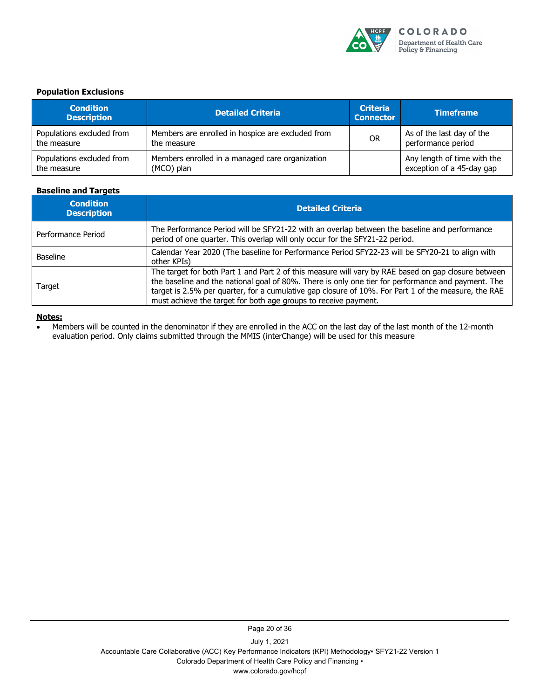

#### **Population Exclusions**

| <b>Condition</b><br><b>Description</b> | <b>Detailed Criteria</b>                          | <b>Criteria</b><br><b>Connector</b> | <b>Timeframe</b>            |
|----------------------------------------|---------------------------------------------------|-------------------------------------|-----------------------------|
| Populations excluded from              | Members are enrolled in hospice are excluded from | <b>OR</b>                           | As of the last day of the   |
| the measure                            | the measure                                       |                                     | performance period          |
| Populations excluded from              | Members enrolled in a managed care organization   |                                     | Any length of time with the |
| the measure                            | (MCO) plan                                        |                                     | exception of a 45-day gap   |

#### **Baseline and Targets**

| <b>Condition</b><br><b>Description</b> | <b>Detailed Criteria</b>                                                                                                                                                                                                                                                                                                                                                            |
|----------------------------------------|-------------------------------------------------------------------------------------------------------------------------------------------------------------------------------------------------------------------------------------------------------------------------------------------------------------------------------------------------------------------------------------|
| Performance Period                     | The Performance Period will be SFY21-22 with an overlap between the baseline and performance<br>period of one quarter. This overlap will only occur for the SFY21-22 period.                                                                                                                                                                                                        |
| <b>Baseline</b>                        | Calendar Year 2020 (The baseline for Performance Period SFY22-23 will be SFY20-21 to align with<br>other KPIs)                                                                                                                                                                                                                                                                      |
| Target                                 | The target for both Part 1 and Part 2 of this measure will vary by RAE based on gap closure between<br>the baseline and the national goal of 80%. There is only one tier for performance and payment. The<br>target is 2.5% per quarter, for a cumulative gap closure of 10%. For Part 1 of the measure, the RAE<br>must achieve the target for both age groups to receive payment. |

#### **Notes:**

• Members will be counted in the denominator if they are enrolled in the ACC on the last day of the last month of the 12-month evaluation period. Only claims submitted through the MMIS (interChange) will be used for this measure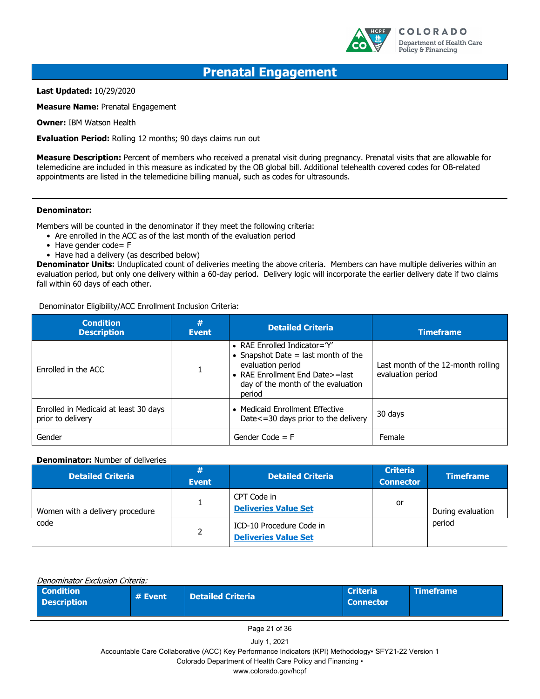

### **Prenatal Engagement**

**Last Updated:** 10/29/2020

**Measure Name:** Prenatal Engagement

**Owner:** IBM Watson Health

**Evaluation Period:** Rolling 12 months; 90 days claims run out

**Measure Description:** Percent of members who received a prenatal visit during pregnancy. Prenatal visits that are allowable for telemedicine are included in this measure as indicated by the OB global bill. Additional telehealth covered codes for OB-related appointments are listed in the telemedicine billing manual, such as codes for ultrasounds.

#### **Denominator:**

Members will be counted in the denominator if they meet the following criteria:

- Are enrolled in the ACC as of the last month of the evaluation period
- Have gender code= F
- Have had a delivery (as described below)

**Denominator Units:** Unduplicated count of deliveries meeting the above criteria. Members can have multiple deliveries within an evaluation period, but only one delivery within a 60-day period. Delivery logic will incorporate the earlier delivery date if two claims fall within 60 days of each other.

Denominator Eligibility/ACC Enrollment Inclusion Criteria:

| <b>Condition</b><br><b>Description</b>                     | #<br><b>Event</b> | <b>Detailed Criteria</b>                                                                                                                                                        | <b>Timeframe</b>                                        |
|------------------------------------------------------------|-------------------|---------------------------------------------------------------------------------------------------------------------------------------------------------------------------------|---------------------------------------------------------|
| Enrolled in the ACC                                        |                   | • RAE Enrolled Indicator= $Y'$<br>• Snapshot Date $=$ last month of the<br>evaluation period<br>• RAE Enrollment End Date>=last<br>day of the month of the evaluation<br>period | Last month of the 12-month rolling<br>evaluation period |
| Enrolled in Medicaid at least 30 days<br>prior to delivery |                   | • Medicaid Enrollment Effective<br>Date <= 30 days prior to the delivery                                                                                                        | 30 days                                                 |
| Gender                                                     |                   | Gender Code $=$ F                                                                                                                                                               | Female                                                  |

#### **Denominator:** Number of deliveries

| <b>Detailed Criteria</b>        | #<br><b>Event</b> | <b>Detailed Criteria</b>                                | <b>Criteria</b><br><b>Connector</b> | <b>Timeframe</b>  |
|---------------------------------|-------------------|---------------------------------------------------------|-------------------------------------|-------------------|
| Women with a delivery procedure |                   | CPT Code in<br><b>Deliveries Value Set</b>              | or                                  | During evaluation |
| code                            | 2                 | ICD-10 Procedure Code in<br><b>Deliveries Value Set</b> |                                     | period            |

| Denominator Exclusion Criteria:        |         |                          |                                     |                  |  |
|----------------------------------------|---------|--------------------------|-------------------------------------|------------------|--|
| <b>Condition</b><br><b>Description</b> | # Event | <b>Detailed Criteria</b> | <b>Criteria</b><br><b>Connector</b> | <b>Timeframe</b> |  |

Page 21 of 36

July 1, 2021

Accountable Care Collaborative (ACC) Key Performance Indicators (KPI) Methodology▪ SFY21-22 Version 1

Colorado Department of Health Care Policy and Financing ▪

www.colorado.gov/hcpf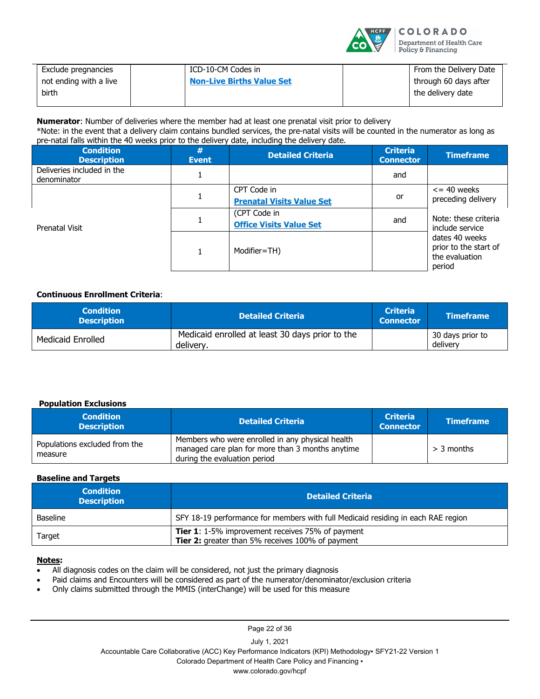

| Exclude pregnancies    | ICD-10-CM Codes in               | From the Delivery Date |
|------------------------|----------------------------------|------------------------|
| not ending with a live | <b>Non-Live Births Value Set</b> | through 60 days after  |
| birth                  |                                  | the delivery date      |
|                        |                                  |                        |

**Numerator**: Number of deliveries where the member had at least one prenatal visit prior to delivery \*Note: in the event that a delivery claim contains bundled services, the pre-natal visits will be counted in the numerator as long as pre-natal falls within the 40 weeks prior to the delivery date, including the delivery date.

| <b>Condition</b><br><b>Description</b>    | #<br><b>Event</b> | <b>Detailed Criteria</b>                        | <b>Criteria</b><br><b>Connector</b> | <b>Timeframe</b>                                                    |
|-------------------------------------------|-------------------|-------------------------------------------------|-------------------------------------|---------------------------------------------------------------------|
| Deliveries included in the<br>denominator |                   |                                                 | and                                 |                                                                     |
| Prenatal Visit                            |                   | CPT Code in<br><b>Prenatal Visits Value Set</b> | or                                  | $\epsilon$ = 40 weeks<br>preceding delivery                         |
|                                           |                   | (CPT Code in<br><b>Office Visits Value Set</b>  | and                                 | Note: these criteria<br>include service                             |
|                                           |                   | Modifier=TH)                                    |                                     | dates 40 weeks<br>prior to the start of<br>the evaluation<br>period |

#### **Continuous Enrollment Criteria**:

| <b>Condition</b><br><b>Description</b> | <b>Detailed Criteria</b>                                     | <b>Criteria</b><br><b>Connector</b> | <b>Timeframe</b>             |
|----------------------------------------|--------------------------------------------------------------|-------------------------------------|------------------------------|
| Medicaid Enrolled                      | Medicaid enrolled at least 30 days prior to the<br>delivery. |                                     | 30 days prior to<br>delivery |

#### **Population Exclusions**

| <b>Condition</b><br><b>Description</b>   | <b>Detailed Criteria</b>                                                                                                             | <b>Criteria</b><br><b>Connector</b> | <b>Timeframe</b> |
|------------------------------------------|--------------------------------------------------------------------------------------------------------------------------------------|-------------------------------------|------------------|
| Populations excluded from the<br>measure | Members who were enrolled in any physical health<br>managed care plan for more than 3 months anytime<br>during the evaluation period |                                     | $>$ 3 months     |

#### **Baseline and Targets**

| <b>Condition</b><br><b>Description</b> | <b>Detailed Criteria</b>                                                                                    |  |
|----------------------------------------|-------------------------------------------------------------------------------------------------------------|--|
| <b>Baseline</b>                        | SFY 18-19 performance for members with full Medicaid residing in each RAE region                            |  |
| Target                                 | <b>Tier 1:</b> 1-5% improvement receives 75% of payment<br>Tier 2: greater than 5% receives 100% of payment |  |

#### **Notes:**

- All diagnosis codes on the claim will be considered, not just the primary diagnosis
- Paid claims and Encounters will be considered as part of the numerator/denominator/exclusion criteria
- Only claims submitted through the MMIS (interChange) will be used for this measure

Page 22 of 36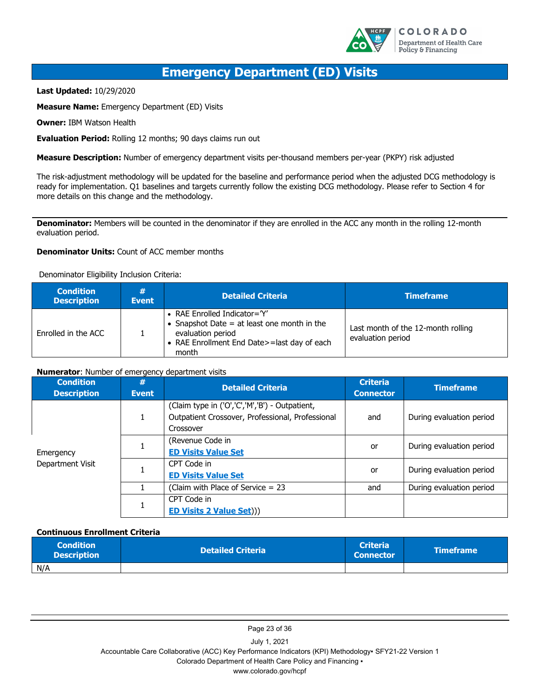

### **Emergency Department (ED) Visits**

**Last Updated:** 10/29/2020

**Measure Name:** Emergency Department (ED) Visits

**Owner:** IBM Watson Health

**Evaluation Period:** Rolling 12 months; 90 days claims run out

**Measure Description:** Number of emergency department visits per-thousand members per-year (PKPY) risk adjusted

The risk-adjustment methodology will be updated for the baseline and performance period when the adjusted DCG methodology is ready for implementation. Q1 baselines and targets currently follow the existing DCG methodology. Please refer to Section 4 for more details on this change and the methodology.

**Denominator:** Members will be counted in the denominator if they are enrolled in the ACC any month in the rolling 12-month evaluation period.

#### **Denominator Units:** Count of ACC member months

Denominator Eligibility Inclusion Criteria:

| <b>Condition</b><br><b>Description</b> | #<br><b>Event</b> | <b>Detailed Criteria</b>                                                                                                                                     | <b>Timeframe</b>                                        |
|----------------------------------------|-------------------|--------------------------------------------------------------------------------------------------------------------------------------------------------------|---------------------------------------------------------|
| Enrolled in the ACC                    |                   | • RAE Enrolled Indicator= $Y'$<br>• Snapshot Date $=$ at least one month in the<br>evaluation period<br>• RAE Enrollment End Date>=last day of each<br>month | Last month of the 12-month rolling<br>evaluation period |

#### **Numerator**: Number of emergency department visits

| <b>Condition</b><br><b>Description</b> | #<br><b>Event</b> | <b>Detailed Criteria</b>                                                                                        | <b>Criteria</b><br><b>Connector</b> | <b>Timeframe</b>         |
|----------------------------------------|-------------------|-----------------------------------------------------------------------------------------------------------------|-------------------------------------|--------------------------|
| Emergency<br>Department Visit          |                   | (Claim type in ('O','C','M','B') - Outpatient,<br>Outpatient Crossover, Professional, Professional<br>Crossover | and                                 | During evaluation period |
|                                        |                   | (Revenue Code in<br><b>ED Visits Value Set</b>                                                                  | or                                  | During evaluation period |
|                                        |                   | CPT Code in<br><b>ED Visits Value Set</b>                                                                       | or                                  | During evaluation period |
|                                        |                   | (Claim with Place of Service $= 23$                                                                             | and                                 | During evaluation period |
|                                        |                   | CPT Code in<br><b>ED Visits 2 Value Set)))</b>                                                                  |                                     |                          |

#### **Continuous Enrollment Criteria**

| <b>Condition</b><br><b>Description</b> | <b>Detailed Criteria</b> | <b>Criteria</b><br><b>Connector</b> | <b>\Timeframe</b> |
|----------------------------------------|--------------------------|-------------------------------------|-------------------|
| N/A                                    |                          |                                     |                   |

Page 23 of 36

July 1, 2021 Accountable Care Collaborative (ACC) Key Performance Indicators (KPI) Methodology▪ SFY21-22 Version 1 Colorado Department of Health Care Policy and Financing ▪

www.colorado.gov/hcpf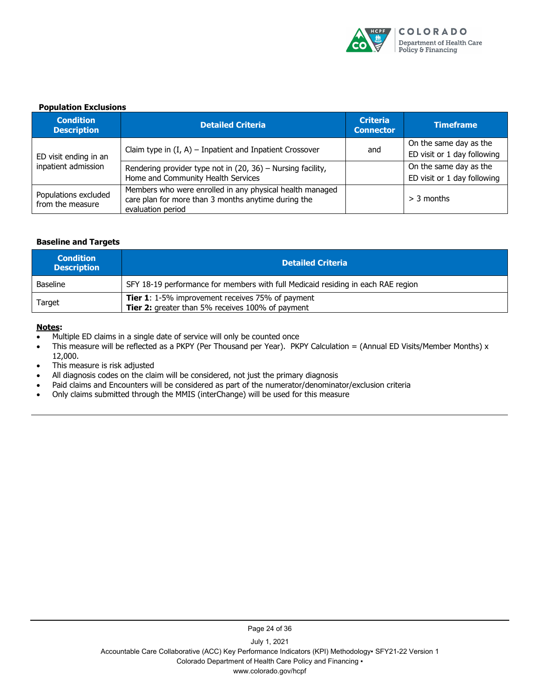

#### **Population Exclusions**

| <b>Condition</b><br><b>Description</b>       | <b>Detailed Criteria</b>                                                                                                             | <b>Criteria</b><br><b>Connector</b> | <b>Timeframe</b>            |
|----------------------------------------------|--------------------------------------------------------------------------------------------------------------------------------------|-------------------------------------|-----------------------------|
|                                              |                                                                                                                                      |                                     | On the same day as the      |
| ED visit ending in an<br>inpatient admission | Claim type in $(I, A)$ – Inpatient and Inpatient Crossover                                                                           | and                                 | ED visit or 1 day following |
|                                              | Rendering provider type not in (20, 36) - Nursing facility,                                                                          |                                     | On the same day as the      |
|                                              | Home and Community Health Services                                                                                                   |                                     | ED visit or 1 day following |
| Populations excluded<br>from the measure     | Members who were enrolled in any physical health managed<br>care plan for more than 3 months anytime during the<br>evaluation period |                                     | $>$ 3 months                |

#### **Baseline and Targets**

| <b>Condition</b><br><b>Description</b> | <b>Detailed Criteria</b>                                                                                    |
|----------------------------------------|-------------------------------------------------------------------------------------------------------------|
| <b>Baseline</b>                        | SFY 18-19 performance for members with full Medicaid residing in each RAE region                            |
| Target                                 | <b>Tier 1:</b> 1-5% improvement receives 75% of payment<br>Tier 2: greater than 5% receives 100% of payment |

#### **Notes:**

- Multiple ED claims in a single date of service will only be counted once
- This measure will be reflected as a PKPY (Per Thousand per Year). PKPY Calculation = (Annual ED Visits/Member Months) x 12,000.
- This measure is risk adjusted
- All diagnosis codes on the claim will be considered, not just the primary diagnosis
- Paid claims and Encounters will be considered as part of the numerator/denominator/exclusion criteria
- Only claims submitted through the MMIS (interChange) will be used for this measure

Page 24 of 36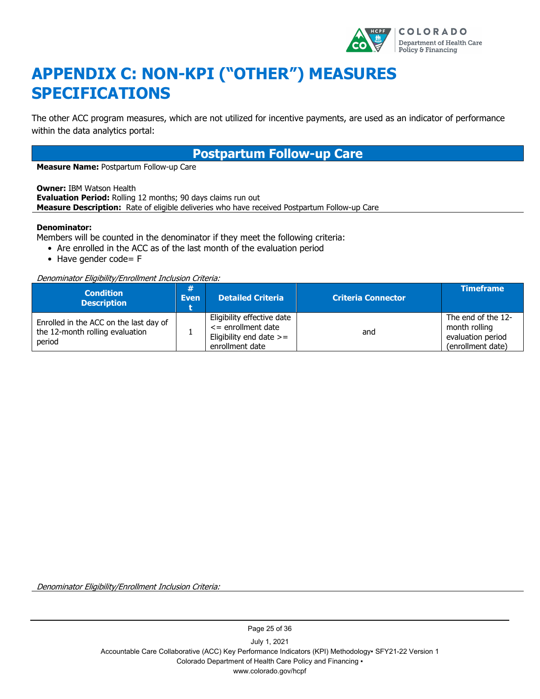

# <span id="page-28-0"></span>**APPENDIX C: NON-KPI ("OTHER") MEASURES SPECIFICATIONS**

The other ACC program measures, which are not utilized for incentive payments, are used as an indicator of performance within the data analytics portal:

### **Postpartum Follow-up Care**

**Measure Name:** Postpartum Follow-up Care

**Owner:** IBM Watson Health **Evaluation Period:** Rolling 12 months; 90 days claims run out **Measure Description:** Rate of eligible deliveries who have received Postpartum Follow-up Care

#### **Denominator:**

Members will be counted in the denominator if they meet the following criteria:

- Are enrolled in the ACC as of the last month of the evaluation period
- Have gender code= F

Denominator Eligibility/Enrollment Inclusion Criteria:

| <b>Condition</b><br><b>Description</b>                                              | 亜<br><b>Even</b> | <b>Detailed Criteria</b>                                                                             | <b>Criteria Connector</b> | <b>Timeframe</b>                                                              |
|-------------------------------------------------------------------------------------|------------------|------------------------------------------------------------------------------------------------------|---------------------------|-------------------------------------------------------------------------------|
| Enrolled in the ACC on the last day of<br>the 12-month rolling evaluation<br>period |                  | Eligibility effective date<br>$\leq$ enrollment date<br>Eligibility end date $>=$<br>enrollment date | and                       | The end of the 12-<br>month rolling<br>evaluation period<br>(enrollment date) |

Denominator Eligibility/Enrollment Inclusion Criteria:

Page 25 of 36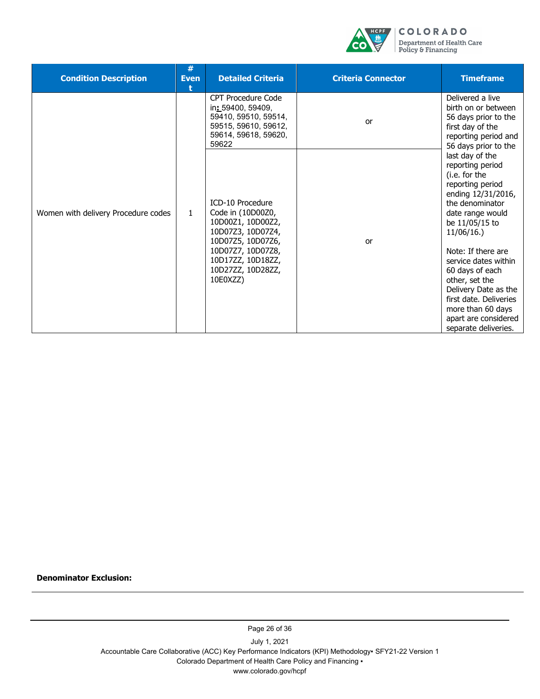

| <b>Condition Description</b>        | #<br><b>Even</b><br>ŧ | <b>Detailed Criteria</b>                                                                                                        | <b>Criteria Connector</b> | <b>Timeframe</b>                                                                                                                                                                                       |
|-------------------------------------|-----------------------|---------------------------------------------------------------------------------------------------------------------------------|---------------------------|--------------------------------------------------------------------------------------------------------------------------------------------------------------------------------------------------------|
| Women with delivery Procedure codes |                       | <b>CPT Procedure Code</b><br>in: 59400, 59409,<br>59410, 59510, 59514,<br>59515, 59610, 59612,<br>59614, 59618, 59620,<br>59622 | or                        | Delivered a live<br>birth on or between<br>56 days prior to the<br>first day of the<br>reporting period and<br>56 days prior to the                                                                    |
|                                     | 1.                    | ICD-10 Procedure<br>Code in (10D00Z0,<br>10D00Z1, 10D00Z2,<br>10D07Z3, 10D07Z4,<br>10D07Z5, 10D07Z6,                            | or                        | last day of the<br>reporting period<br>(i.e. for the<br>reporting period<br>ending 12/31/2016,<br>the denominator<br>date range would<br>be 11/05/15 to<br>11/06/16.                                   |
|                                     |                       | 10D07Z7, 10D07Z8,<br>10D17ZZ, 10D18ZZ,<br>10D27ZZ, 10D28ZZ,<br>10E0XZZ)                                                         |                           | Note: If there are<br>service dates within<br>60 days of each<br>other, set the<br>Delivery Date as the<br>first date. Deliveries<br>more than 60 days<br>apart are considered<br>separate deliveries. |

**Denominator Exclusion:**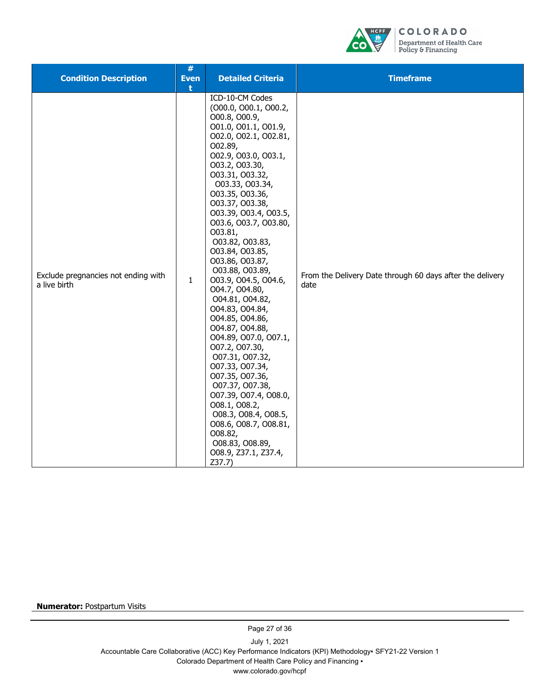

| <b>Condition Description</b>                        | #<br><b>Even</b><br>÷ | <b>Detailed Criteria</b>                                                                                                                                                                                                                                                                                                                                                                                                                                                                                                                                                                                                                                                                                                                                                                    | <b>Timeframe</b>                                                  |
|-----------------------------------------------------|-----------------------|---------------------------------------------------------------------------------------------------------------------------------------------------------------------------------------------------------------------------------------------------------------------------------------------------------------------------------------------------------------------------------------------------------------------------------------------------------------------------------------------------------------------------------------------------------------------------------------------------------------------------------------------------------------------------------------------------------------------------------------------------------------------------------------------|-------------------------------------------------------------------|
| Exclude pregnancies not ending with<br>a live birth | $\mathbf{1}$          | ICD-10-CM Codes<br>(000.0, 000.1, 000.2,<br>O00.8, O00.9,<br>001.0, 001.1, 001.9,<br>002.0, 002.1, 002.81,<br>O02.89,<br>002.9, 003.0, 003.1,<br>003.2, 003.30,<br>003.31, 003.32,<br>003.33, 003.34,<br>003.35, 003.36,<br>003.37, 003.38,<br>003.39, 003.4, 003.5,<br>003.6, 003.7, 003.80,<br>003.81,<br>003.82, 003.83,<br>003.84, 003.85,<br>003.86, 003.87,<br>O03.88, O03.89,<br>O03.9, O04.5, O04.6,<br>O04.7, O04.80,<br>004.81, 004.82,<br>004.83, 004.84,<br>O04.85, O04.86,<br>O04.87, O04.88,<br>004.89, 007.0, 007.1,<br>007.2, 007.30,<br>007.31, 007.32,<br>007.33, 007.34,<br>007.35, 007.36,<br>007.37, 007.38,<br>O07.39, O07.4, O08.0,<br>008.1, 008.2,<br>008.3, 008.4, 008.5,<br>008.6, 008.7, 008.81,<br>O08.82,<br>O08.83, O08.89,<br>O08.9, Z37.1, Z37.4,<br>Z37.7 | From the Delivery Date through 60 days after the delivery<br>date |

**Numerator:** Postpartum Visits

Page 27 of 36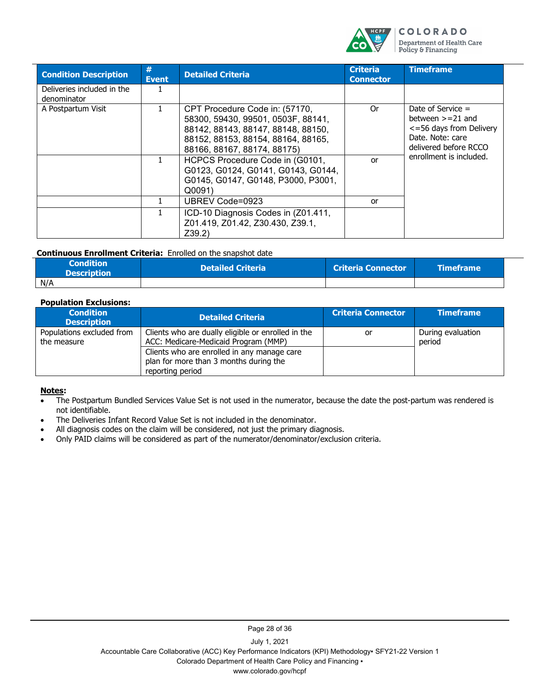

| <b>Condition Description</b>              | #<br><b>Event</b> | <b>Detailed Criteria</b>                                                                                                                                                        | <b>Criteria</b><br><b>Connector</b> | <b>Timeframe</b>                                                                                                                              |
|-------------------------------------------|-------------------|---------------------------------------------------------------------------------------------------------------------------------------------------------------------------------|-------------------------------------|-----------------------------------------------------------------------------------------------------------------------------------------------|
| Deliveries included in the<br>denominator |                   |                                                                                                                                                                                 |                                     |                                                                                                                                               |
| A Postpartum Visit                        |                   | CPT Procedure Code in: (57170,<br>58300, 59430, 99501, 0503F, 88141,<br>88142, 88143, 88147, 88148, 88150,<br>88152, 88153, 88154, 88164, 88165,<br>88166, 88167, 88174, 88175) | 0r                                  | Date of Service $=$<br>between $>=21$ and<br><= 56 days from Delivery<br>Date, Note: care<br>delivered before RCCO<br>enrollment is included. |
|                                           |                   | HCPCS Procedure Code in (G0101,<br>G0123, G0124, G0141, G0143, G0144,<br>G0145, G0147, G0148, P3000, P3001,<br>Q0091                                                            | or                                  |                                                                                                                                               |
|                                           |                   | UBREV Code=0923                                                                                                                                                                 | or                                  |                                                                                                                                               |
|                                           |                   | ICD-10 Diagnosis Codes in (Z01.411,<br>Z01.419, Z01.42, Z30.430, Z39.1,<br>Z39.2                                                                                                |                                     |                                                                                                                                               |

#### **Continuous Enrollment Criteria:** Enrolled on the snapshot date

| <b>Condition</b><br><b>Description</b> | <b>Detailed Criteria</b> | <b>Criteria Connector</b> | \Timeframe \ |
|----------------------------------------|--------------------------|---------------------------|--------------|
| N/A                                    |                          |                           |              |

#### **Population Exclusions:**

| <b>Condition</b><br><b>Description</b>   | <b>Detailed Criteria</b>                                                                                  | <b>Criteria Connector</b> | <b>Timeframe</b>            |
|------------------------------------------|-----------------------------------------------------------------------------------------------------------|---------------------------|-----------------------------|
| Populations excluded from<br>the measure | Clients who are dually eligible or enrolled in the<br>ACC: Medicare-Medicaid Program (MMP)                | or                        | During evaluation<br>period |
|                                          | Clients who are enrolled in any manage care<br>plan for more than 3 months during the<br>reporting period |                           |                             |

#### **Notes:**

- The Postpartum Bundled Services Value Set is not used in the numerator, because the date the post-partum was rendered is not identifiable.
- The Deliveries Infant Record Value Set is not included in the denominator.
- All diagnosis codes on the claim will be considered, not just the primary diagnosis.
- Only PAID claims will be considered as part of the numerator/denominator/exclusion criteria.

Page 28 of 36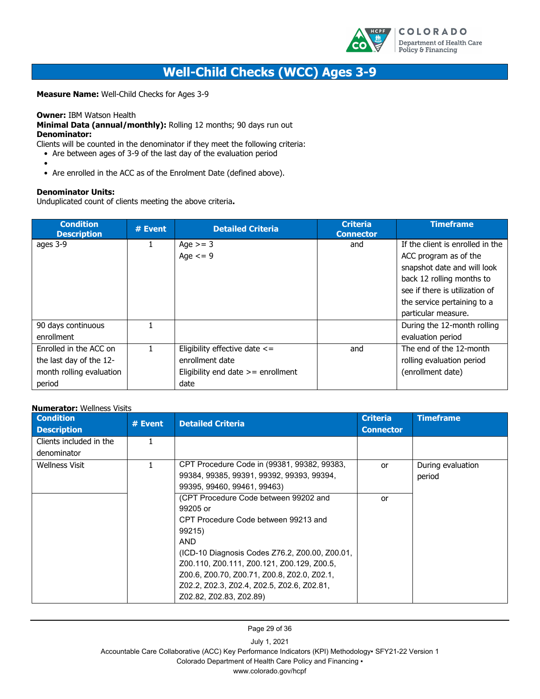

### **Well-Child Checks (WCC) Ages 3-9**

**Measure Name:** Well-Child Checks for Ages 3-9

#### **Owner:** IBM Watson Health

**Minimal Data (annual/monthly):** Rolling 12 months; 90 days run out **Denominator:**

Clients will be counted in the denominator if they meet the following criteria:

- Are between ages of 3-9 of the last day of the evaluation period
- - Are enrolled in the ACC as of the Enrolment Date (defined above).

#### **Denominator Units:**

Unduplicated count of clients meeting the above criteria**.**

| <b>Condition</b><br><b>Description</b> | # Event | <b>Detailed Criteria</b>             | <b>Criteria</b><br><b>Connector</b> | <b>Timeframe</b>                 |
|----------------------------------------|---------|--------------------------------------|-------------------------------------|----------------------------------|
| ages 3-9                               |         | Age $>=$ 3                           | and                                 | If the client is enrolled in the |
|                                        |         | Age $\leq$ = 9                       |                                     | ACC program as of the            |
|                                        |         |                                      |                                     | snapshot date and will look      |
|                                        |         |                                      |                                     | back 12 rolling months to        |
|                                        |         |                                      |                                     | see if there is utilization of   |
|                                        |         |                                      |                                     | the service pertaining to a      |
|                                        |         |                                      |                                     | particular measure.              |
| 90 days continuous                     | 1       |                                      |                                     | During the 12-month rolling      |
| enrollment                             |         |                                      |                                     | evaluation period                |
| Enrolled in the ACC on                 |         | Eligibility effective date $\le$ =   | and                                 | The end of the 12-month          |
| the last day of the 12-                |         | enrollment date                      |                                     | rolling evaluation period        |
| month rolling evaluation               |         | Eligibility end date $>=$ enrollment |                                     | (enrollment date)                |
| period                                 |         | date                                 |                                     |                                  |

| <b>Numerator:</b> Wellness Visits |         |                                                |                  |                   |  |  |  |  |
|-----------------------------------|---------|------------------------------------------------|------------------|-------------------|--|--|--|--|
| <b>Condition</b>                  | # Event | <b>Detailed Criteria</b>                       | <b>Criteria</b>  | <b>Timeframe</b>  |  |  |  |  |
| <b>Description</b>                |         |                                                | <b>Connector</b> |                   |  |  |  |  |
| Clients included in the           | 1.      |                                                |                  |                   |  |  |  |  |
| denominator                       |         |                                                |                  |                   |  |  |  |  |
| <b>Wellness Visit</b>             | 1       | CPT Procedure Code in (99381, 99382, 99383,    | or               | During evaluation |  |  |  |  |
|                                   |         | 99384, 99385, 99391, 99392, 99393, 99394,      |                  | period            |  |  |  |  |
|                                   |         | 99395, 99460, 99461, 99463)                    |                  |                   |  |  |  |  |
|                                   |         | (CPT Procedure Code between 99202 and          | or               |                   |  |  |  |  |
|                                   |         | 99205 or                                       |                  |                   |  |  |  |  |
|                                   |         | CPT Procedure Code between 99213 and           |                  |                   |  |  |  |  |
|                                   |         | 99215)                                         |                  |                   |  |  |  |  |
|                                   |         | <b>AND</b>                                     |                  |                   |  |  |  |  |
|                                   |         | (ICD-10 Diagnosis Codes Z76.2, Z00.00, Z00.01, |                  |                   |  |  |  |  |
|                                   |         | Z00.110, Z00.111, Z00.121, Z00.129, Z00.5,     |                  |                   |  |  |  |  |
|                                   |         | Z00.6, Z00.70, Z00.71, Z00.8, Z02.0, Z02.1,    |                  |                   |  |  |  |  |
|                                   |         | Z02.2, Z02.3, Z02.4, Z02.5, Z02.6, Z02.81,     |                  |                   |  |  |  |  |
|                                   |         | Z02.82, Z02.83, Z02.89)                        |                  |                   |  |  |  |  |

Page 29 of 36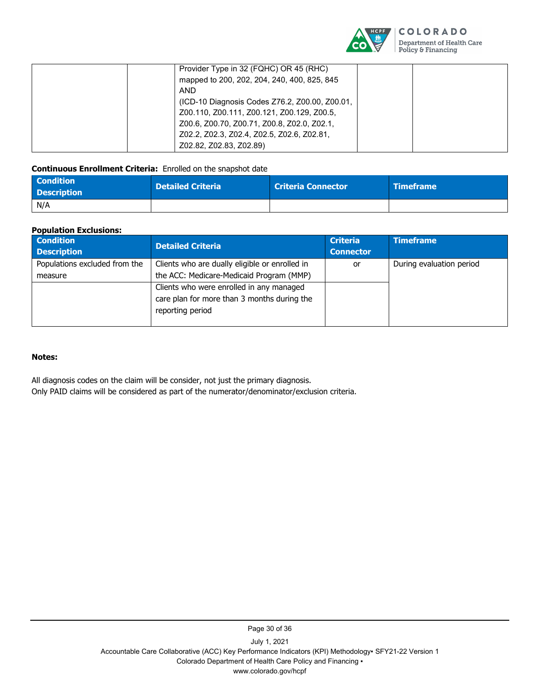

| Provider Type in 32 (FQHC) OR 45 (RHC)         |  |
|------------------------------------------------|--|
| mapped to 200, 202, 204, 240, 400, 825, 845    |  |
| <b>AND</b>                                     |  |
| (ICD-10 Diagnosis Codes Z76.2, Z00.00, Z00.01, |  |
| Z00.110, Z00.111, Z00.121, Z00.129, Z00.5,     |  |
| Z00.6, Z00.70, Z00.71, Z00.8, Z02.0, Z02.1,    |  |
| Z02.2, Z02.3, Z02.4, Z02.5, Z02.6, Z02.81,     |  |
| Z02.82, Z02.83, Z02.89)                        |  |

#### **Continuous Enrollment Criteria:** Enrolled on the snapshot date

| <b>Condition</b><br><b>Description</b> | <b>Detailed Criteria</b> | <b>Criteria Connector</b> | <b>Timeframe</b> |
|----------------------------------------|--------------------------|---------------------------|------------------|
| N/A                                    |                          |                           |                  |

#### **Population Exclusions:**

| <b>Condition</b><br><b>Description</b> | <b>Detailed Criteria</b>                       | <b>Criteria</b><br><b>Connector</b> | <b>Timeframe</b>         |
|----------------------------------------|------------------------------------------------|-------------------------------------|--------------------------|
| Populations excluded from the          | Clients who are dually eligible or enrolled in | or                                  | During evaluation period |
| measure                                | the ACC: Medicare-Medicaid Program (MMP)       |                                     |                          |
|                                        | Clients who were enrolled in any managed       |                                     |                          |
|                                        | care plan for more than 3 months during the    |                                     |                          |
|                                        | reporting period                               |                                     |                          |
|                                        |                                                |                                     |                          |

#### **Notes:**

All diagnosis codes on the claim will be consider, not just the primary diagnosis.

Only PAID claims will be considered as part of the numerator/denominator/exclusion criteria.

July 1, 2021 Accountable Care Collaborative (ACC) Key Performance Indicators (KPI) Methodology▪ SFY21-22 Version 1 Colorado Department of Health Care Policy and Financing ▪ www.colorado.gov/hcpf

Page 30 of 36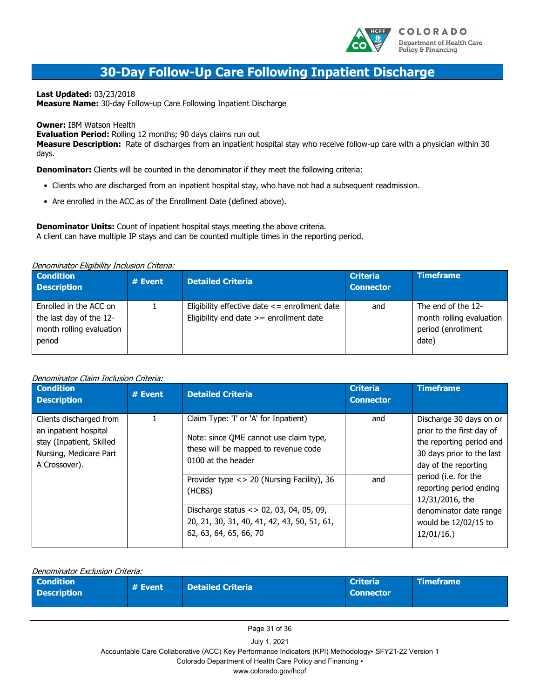

### **30-Day Follow-Up Care Following Inpatient Discharge**

**Last Updated:** 03/23/2018

**Measure Name:** 30-day Follow-up Care Following Inpatient Discharge

**Owner:** IBM Watson Health

**Evaluation Period:** Rolling 12 months; 90 days claims run out

**Measure Description:** Rate of discharges from an inpatient hospital stay who receive follow-up care with a physician within 30 days.

**Denominator:** Clients will be counted in the denominator if they meet the following criteria:

- Clients who are discharged from an inpatient hospital stay, who have not had a subsequent readmission.
- Are enrolled in the ACC as of the Enrollment Date (defined above).

**Denominator Units:** Count of inpatient hospital stays meeting the above criteria. A client can have multiple IP stays and can be counted multiple times in the reporting period.

#### Denominator Eligibility Inclusion Criteria:

| <b>Condition</b><br><b>Description</b>                                                  | # Event | <b>Detailed Criteria</b>                                                                       | <b>Criteria</b><br><b>Connector</b> | <b>Timeframe</b>                                                              |
|-----------------------------------------------------------------------------------------|---------|------------------------------------------------------------------------------------------------|-------------------------------------|-------------------------------------------------------------------------------|
| Enrolled in the ACC on<br>the last day of the 12-<br>month rolling evaluation<br>period |         | Eligibility effective date $\leq$ enrollment date<br>Eligibility end date $>=$ enrollment date | and                                 | The end of the 12-<br>month rolling evaluation<br>period (enrollment<br>date) |

#### Denominator Claim Inclusion Criteria:

| <b>Condition</b><br><b>Description</b>                                                                                  | # Event | <b>Detailed Criteria</b>                                                                                                                                                                              | <b>Criteria</b><br><b>Connector</b> | <b>Timeframe</b>                                                                                                                                                                                                                                                           |
|-------------------------------------------------------------------------------------------------------------------------|---------|-------------------------------------------------------------------------------------------------------------------------------------------------------------------------------------------------------|-------------------------------------|----------------------------------------------------------------------------------------------------------------------------------------------------------------------------------------------------------------------------------------------------------------------------|
| Clients discharged from<br>an inpatient hospital<br>stay (Inpatient, Skilled<br>Nursing, Medicare Part<br>A Crossover). |         | Claim Type: 'I' or 'A' for Inpatient)<br>Note: since QME cannot use claim type,<br>these will be mapped to revenue code<br>0100 at the header<br>Provider type <> 20 (Nursing Facility), 36<br>(HCBS) | and<br>and                          | Discharge 30 days on or<br>prior to the first day of<br>the reporting period and<br>30 days prior to the last<br>day of the reporting<br>period (i.e. for the<br>reporting period ending<br>12/31/2016, the<br>denominator date range<br>would be 12/02/15 to<br>12/01/16. |
|                                                                                                                         |         | Discharge status <> 02, 03, 04, 05, 09,<br>20, 21, 30, 31, 40, 41, 42, 43, 50, 51, 61,<br>62, 63, 64, 65, 66, 70                                                                                      |                                     |                                                                                                                                                                                                                                                                            |

| Denominator Exclusion Criteria:        |         |                          |                                     |                  |  |
|----------------------------------------|---------|--------------------------|-------------------------------------|------------------|--|
| <b>Condition</b><br><b>Description</b> | # Event | <b>Detailed Criteria</b> | <b>Criteria</b><br><b>Connector</b> | <b>Timeframe</b> |  |

Page 31 of 36

July 1, 2021

Accountable Care Collaborative (ACC) Key Performance Indicators (KPI) Methodology▪ SFY21-22 Version 1

Colorado Department of Health Care Policy and Financing ▪

www.colorado.gov/hcpf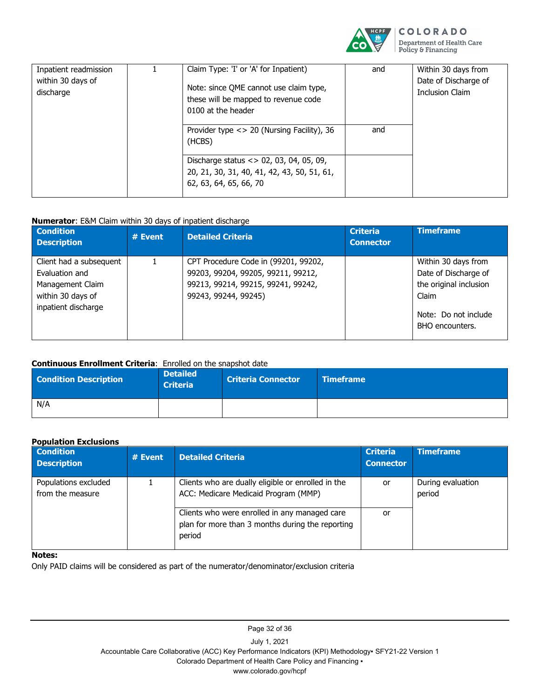

| Inpatient readmission<br>within 30 days of<br>discharge | Claim Type: 'I' or 'A' for Inpatient)<br>Note: since QME cannot use claim type,<br>these will be mapped to revenue code<br>0100 at the header | and | Within 30 days from<br>Date of Discharge of<br><b>Inclusion Claim</b> |
|---------------------------------------------------------|-----------------------------------------------------------------------------------------------------------------------------------------------|-----|-----------------------------------------------------------------------|
|                                                         | Provider type $\langle 20 \rangle$ (Nursing Facility), 36<br>(HCBS)                                                                           | and |                                                                       |
|                                                         | 20, 21, 30, 31, 40, 41, 42, 43, 50, 51, 61,<br>62, 63, 64, 65, 66, 70                                                                         |     |                                                                       |

#### **Numerator**: E&M Claim within 30 days of inpatient discharge

| <b>Condition</b><br><b>Description</b> | # Event | <b>Detailed Criteria</b>             | <b>Criteria</b><br><b>Connector</b> | <b>Timeframe</b>       |
|----------------------------------------|---------|--------------------------------------|-------------------------------------|------------------------|
| Client had a subsequent                |         | CPT Procedure Code in (99201, 99202, |                                     | Within 30 days from    |
| Evaluation and                         |         | 99203, 99204, 99205, 99211, 99212,   |                                     | Date of Discharge of   |
| Management Claim                       |         | 99213, 99214, 99215, 99241, 99242,   |                                     | the original inclusion |
| within 30 days of                      |         | 99243, 99244, 99245)                 |                                     | Claim                  |
| inpatient discharge                    |         |                                      |                                     |                        |
|                                        |         |                                      |                                     | Note: Do not include   |
|                                        |         |                                      |                                     | BHO encounters.        |
|                                        |         |                                      |                                     |                        |

#### **Continuous Enrollment Criteria**: Enrolled on the snapshot date

| <b>Condition Description</b> | <b>Detailed</b><br><b>Criteria</b> | <b>Criteria Connector</b> | <b>Timeframe</b> |
|------------------------------|------------------------------------|---------------------------|------------------|
| N/A                          |                                    |                           |                  |

#### **Population Exclusions**

| <b>Condition</b><br><b>Description</b>   | $#$ Event | <b>Detailed Criteria</b>                                                                                    | <b>Criteria</b><br><b>Connector</b> | <b>Timeframe</b>            |
|------------------------------------------|-----------|-------------------------------------------------------------------------------------------------------------|-------------------------------------|-----------------------------|
| Populations excluded<br>from the measure |           | Clients who are dually eligible or enrolled in the<br>ACC: Medicare Medicaid Program (MMP)                  | or                                  | During evaluation<br>period |
|                                          |           | Clients who were enrolled in any managed care<br>plan for more than 3 months during the reporting<br>period | or                                  |                             |

#### **Notes:**

Only PAID claims will be considered as part of the numerator/denominator/exclusion criteria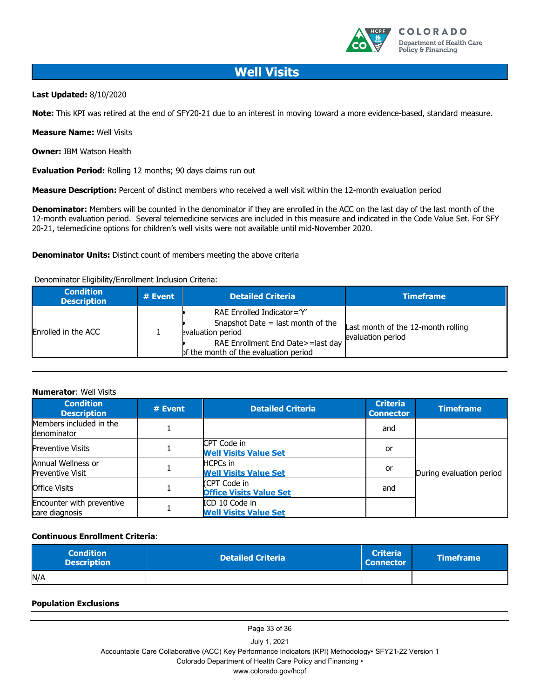

### **Well Visits**

#### **Last Updated:** 8/10/2020

**Note:** This KPI was retired at the end of SFY20-21 due to an interest in moving toward a more evidence-based, standard measure.

**Measure Name:** Well Visits

**Owner:** IBM Watson Health

**Evaluation Period:** Rolling 12 months; 90 days claims run out

**Measure Description:** Percent of distinct members who received a well visit within the 12-month evaluation period

**Denominator:** Members will be counted in the denominator if they are enrolled in the ACC on the last day of the last month of the 12-month evaluation period. Several telemedicine services are included in this measure and indicated in the Code Value Set. For SFY 20-21, telemedicine options for children's well visits were not available until mid-November 2020.

**Denominator Units:** Distinct count of members meeting the above criteria

#### Denominator Eligibility/Enrollment Inclusion Criteria:

| <b>Condition</b><br><b>Description</b> | $#$ Event | <b>Detailed Criteria</b>                                                                                                                                           | <b>Timeframe</b>                                        |
|----------------------------------------|-----------|--------------------------------------------------------------------------------------------------------------------------------------------------------------------|---------------------------------------------------------|
| Enrolled in the ACC                    |           | RAE Enrolled Indicator='Y'<br>Snapshot Date = last month of the<br>evaluation period<br>RAE Enrollment End Date>=last day<br>of the month of the evaluation period | Last month of the 12-month rolling<br>evaluation period |

#### **Numerator**: Well Visits

| <b>Condition</b><br><b>Description</b>        | # Event | <b>Detailed Criteria</b>                        | <b>Criteria</b><br><b>Connector</b> | <b>Timeframe</b>         |
|-----------------------------------------------|---------|-------------------------------------------------|-------------------------------------|--------------------------|
| Members included in the<br>denominator        |         |                                                 | and                                 |                          |
| <b>Preventive Visits</b>                      |         | CPT Code in<br><b>Well Visits Value Set</b>     | <b>or</b>                           |                          |
| Annual Wellness or<br><b>Preventive Visit</b> |         | <b>HCPCs</b> in<br><b>Well Visits Value Set</b> | or                                  | During evaluation period |
| <b>Office Visits</b>                          |         | (CPT Code in<br><b>Office Visits Value Set</b>  | and                                 |                          |
| Encounter with preventive<br>care diagnosis   |         | ICD 10 Code in<br><b>Well Visits Value Set</b>  |                                     |                          |

#### **Continuous Enrollment Criteria**:

| <b>Condition</b><br><b>Description</b> | <b>Detailed Criteria</b> | <b>Criteria</b><br><b>Connector</b> | <b>Timeframe</b> |
|----------------------------------------|--------------------------|-------------------------------------|------------------|
| N/A                                    |                          |                                     |                  |

#### **Population Exclusions**

Page 33 of 36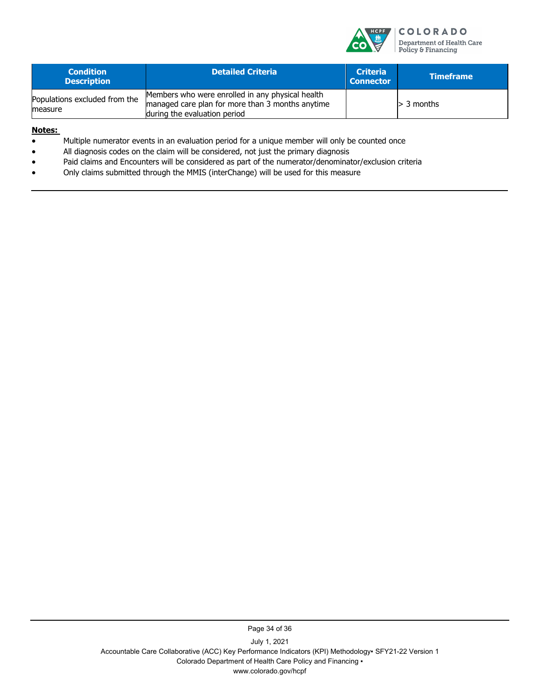

| <b>Condition</b><br><b>Description</b>   | <b>Detailed Criteria</b>                                                                                                             | <b>Criteria</b><br><b>Connector</b> | <b>Timeframe</b> |
|------------------------------------------|--------------------------------------------------------------------------------------------------------------------------------------|-------------------------------------|------------------|
| Populations excluded from the<br>measure | Members who were enrolled in any physical health<br>managed care plan for more than 3 months anytime<br>during the evaluation period |                                     | $>$ 3 months     |

#### **Notes:**

- Multiple numerator events in an evaluation period for a unique member will only be counted once
- All diagnosis codes on the claim will be considered, not just the primary diagnosis
- Paid claims and Encounters will be considered as part of the numerator/denominator/exclusion criteria
- Only claims submitted through the MMIS (interChange) will be used for this measure

Page 34 of 36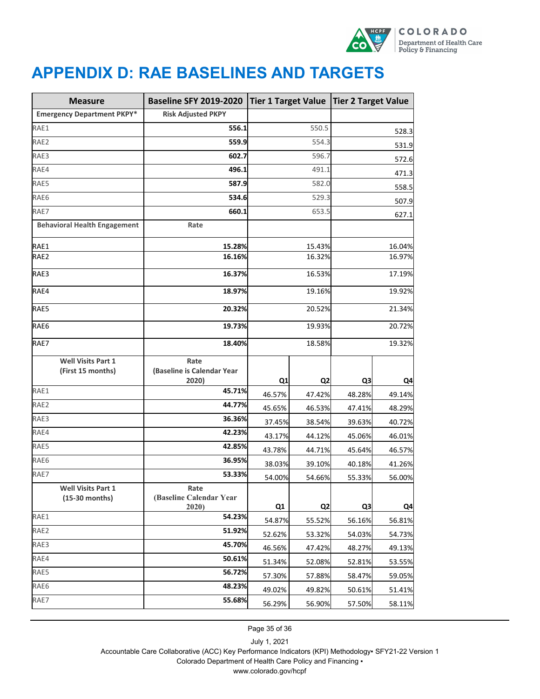

# <span id="page-38-0"></span>**APPENDIX D: RAE BASELINES AND TARGETS**

| <b>Measure</b>                                 | <b>Baseline SFY 2019-2020</b>               | <b>Tier 1 Target Value</b> |                | Tier 2 Target Value |        |
|------------------------------------------------|---------------------------------------------|----------------------------|----------------|---------------------|--------|
| <b>Emergency Department PKPY*</b>              | <b>Risk Adjusted PKPY</b>                   |                            |                |                     |        |
| RAE1                                           | 556.1                                       | 550.5                      |                | 528.3               |        |
| RAE2                                           | 559.9                                       | 554.3                      |                | 531.9               |        |
| RAE3                                           | 602.7                                       | 596.7                      |                | 572.6               |        |
| RAE4                                           | 496.1                                       | 491.1                      |                | 471.3               |        |
| RAE5                                           | 587.9                                       | 582.0                      |                | 558.5               |        |
| RAE6                                           | 534.6                                       | 529.3                      |                | 507.9               |        |
| RAE7                                           | 660.1                                       | 653.5                      |                | 627.1               |        |
| <b>Behavioral Health Engagement</b>            | Rate                                        |                            |                |                     |        |
| RAE1                                           | 15.28%                                      | 15.43%                     |                | 16.04%              |        |
| RAE2                                           | 16.16%                                      | 16.32%                     |                | 16.97%              |        |
| RAE3                                           | 16.37%                                      |                            | 16.53%         |                     | 17.19% |
| RAE4                                           | 18.97%                                      |                            | 19.16%         |                     | 19.92% |
| RAE5                                           | 20.32%                                      | 20.52%                     |                | 21.34%              |        |
| RAE6                                           | 19.73%                                      | 19.93%                     |                | 20.72%              |        |
| RAE7                                           | 18.40%                                      | 18.58%                     |                | 19.32%              |        |
| <b>Well Visits Part 1</b><br>(First 15 months) | Rate<br>(Baseline is Calendar Year<br>2020) | Q1                         | Q <sub>2</sub> | Q3                  | Q4     |
| RAE1                                           | 45.71%                                      | 46.57%                     | 47.42%         | 48.28%              | 49.14% |
| RAE2                                           | 44.77%                                      | 45.65%                     | 46.53%         | 47.41%              | 48.29% |
| RAE3                                           | 36.36%                                      | 37.45%                     | 38.54%         | 39.63%              | 40.72% |
| RAE4                                           | 42.23%                                      | 43.17%                     | 44.12%         | 45.06%              | 46.01% |
| RAE5                                           | 42.85%                                      | 43.78%                     | 44.71%         | 45.64%              | 46.57% |
| RAE6                                           | 36.95%                                      | 38.03%                     | 39.10%         | 40.18%              | 41.26% |
| RAE7                                           | 53.33%                                      | 54.00%                     | 54.66%         | 55.33%              | 56.00% |
| <b>Well Visits Part 1</b><br>$(15-30$ months)  | Rate<br>(Baseline Calendar Year<br>2020)    | Q1                         | Q <sub>2</sub> | Q3                  | Q4     |
| RAE1                                           | 54.23%                                      | 54.87%                     | 55.52%         | 56.16%              | 56.81% |
| RAE2                                           | 51.92%                                      | 52.62%                     | 53.32%         | 54.03%              | 54.73% |
| RAE3                                           | 45.70%                                      | 46.56%                     | 47.42%         | 48.27%              | 49.13% |
| RAE4                                           | 50.61%                                      | 51.34%                     | 52.08%         | 52.81%              | 53.55% |
| RAE5                                           | 56.72%                                      | 57.30%                     | 57.88%         | 58.47%              | 59.05% |
| RAE6                                           | 48.23%                                      | 49.02%                     | 49.82%         | 50.61%              | 51.41% |
| RAE7                                           | 55.68%                                      | 56.29%                     | 56.90%         | 57.50%              | 58.11% |

Page 35 of 36